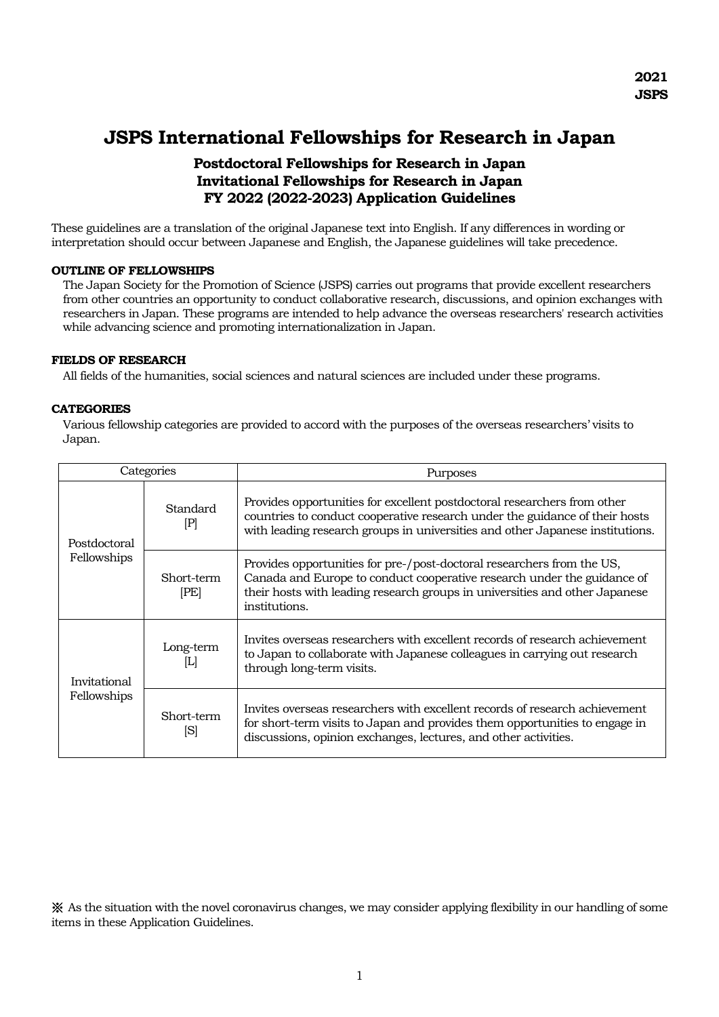# **JSPS International Fellowships for Research in Japan**

## **Postdoctoral Fellowships for Research in Japan Invitational Fellowships for Research in Japan FY 2022 (2022-2023) Application Guidelines**

These guidelines are a translation of the original Japanese text into English. If any differences in wording or interpretation should occur between Japanese and English, the Japanese guidelines will take precedence.

### **OUTLINE OF FELLOWSHIPS**

The Japan Society for the Promotion of Science (JSPS) carries out programs that provide excellent researchers from other countries an opportunity to conduct collaborative research, discussions, and opinion exchanges with researchers in Japan. These programs are intended to help advance the overseas researchers' research activities while advancing science and promoting internationalization in Japan.

#### **FIELDS OF RESEARCH**

All fields of the humanities, social sciences and natural sciences are included under these programs.

#### **CATEGORIES**

Various fellowship categories are provided to accord with the purposes of the overseas researchers' visits to Japan.

| Categories                  |                            | Purposes                                                                                                                                                                                                                                          |
|-----------------------------|----------------------------|---------------------------------------------------------------------------------------------------------------------------------------------------------------------------------------------------------------------------------------------------|
| Postdoctoral<br>Fellowships | Standard<br>$[\mathrm{P}]$ | Provides opportunities for excellent postdoctoral researchers from other<br>countries to conduct cooperative research under the guidance of their hosts<br>with leading research groups in universities and other Japanese institutions.          |
|                             | Short-term<br>[PE]         | Provides opportunities for pre-/post-doctoral researchers from the US,<br>Canada and Europe to conduct cooperative research under the guidance of<br>their hosts with leading research groups in universities and other Japanese<br>institutions. |
| Invitational<br>Fellowships | Long-term<br>[L]           | Invites overseas researchers with excellent records of research achievement<br>to Japan to collaborate with Japanese colleagues in carrying out research<br>through long-term visits.                                                             |
|                             | Short-term<br>[S]          | Invites overseas researchers with excellent records of research achievement<br>for short-term visits to Japan and provides them opportunities to engage in<br>discussions, opinion exchanges, lectures, and other activities.                     |

※ As the situation with the novel coronavirus changes, we may consider applying flexibility in our handling of some items in these Application Guidelines.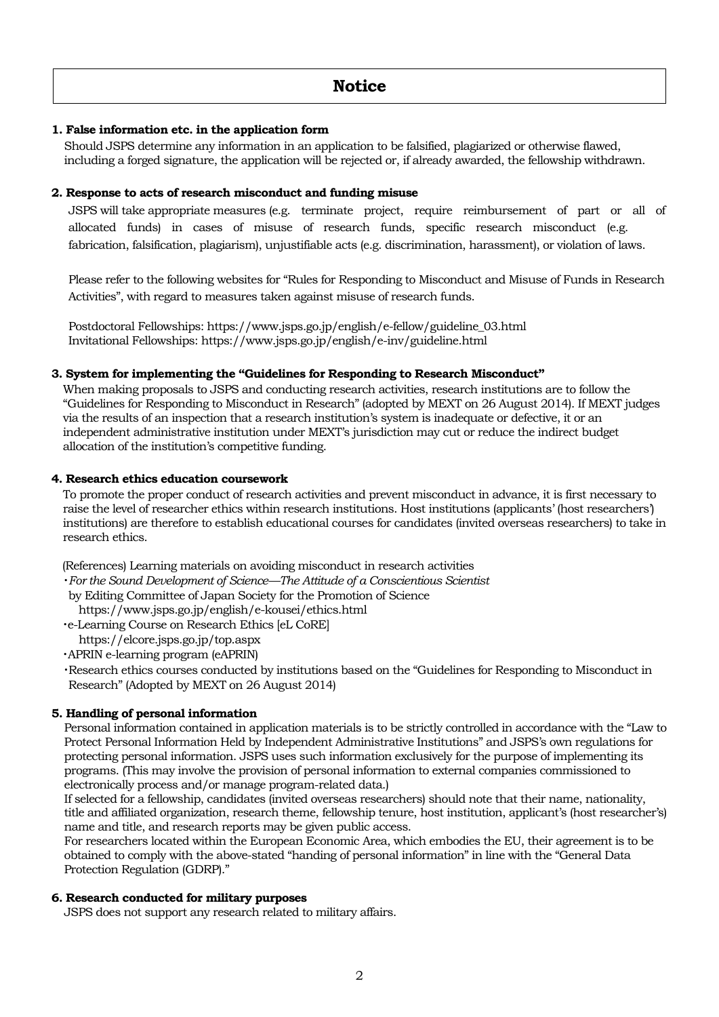## **1. False information etc. in the application form**

Should JSPS determine any information in an application to be falsified, plagiarized or otherwise flawed, including a forged signature, the application will be rejected or, if already awarded, the fellowship withdrawn.

#### **2. Response to acts of research misconduct and funding misuse**

JSPS will take appropriate measures (e.g. terminate project, require reimbursement of part or all of allocated funds) in cases of misuse of research funds, specific research misconduct (e.g. fabrication, falsification, plagiarism), unjustifiable acts (e.g. discrimination, harassment), or violation of laws.

Please refer to the following websites for "Rules for Responding to Misconduct and Misuse of Funds in Research Activities", with regard to measures taken against misuse of research funds.

Postdoctoral Fellowships: https://www.jsps.go.jp/english/e-fellow/guideline\_03.html Invitational Fellowships: https://www.jsps.go.jp/english/e-inv/guideline.html

#### **3. System for implementing the "Guidelines for Responding to Research Misconduct"**

When making proposals to JSPS and conducting research activities, research institutions are to follow the "Guidelines for Responding to Misconduct in Research" (adopted by MEXT on 26 August 2014). If MEXT judges via the results of an inspection that a research institution's system is inadequate or defective, it or an independent administrative institution under MEXT's jurisdiction may cut or reduce the indirect budget allocation of the institution's competitive funding.

#### **4. Research ethics education coursework**

To promote the proper conduct of research activities and prevent misconduct in advance, it is first necessary to raise the level of researcher ethics within research institutions. Host institutions (applicants' (host researchers') institutions) are therefore to establish educational courses for candidates (invited overseas researchers) to take in research ethics.

(References) Learning materials on avoiding misconduct in research activities

- ・*For the Sound Development of Science—The Attitude of a Conscientious Scientist*
- by Editing Committee of Japan Society for the Promotion of Science

https://www.jsps.go.jp/english/e-kousei/ethics.html

・e-Learning Course on Research Ethics [eL CoRE]

https://elcore.jsps.go.jp/top.aspx

・APRIN e-learning program (eAPRIN)

・Research ethics courses conducted by institutions based on the "Guidelines for Responding to Misconduct in Research" (Adopted by MEXT on 26 August 2014)

## **5. Handling of personal information**

Personal information contained in application materials is to be strictly controlled in accordance with the "Law to Protect Personal Information Held by Independent Administrative Institutions" and JSPS's own regulations for protecting personal information. JSPS uses such information exclusively for the purpose of implementing its programs. (This may involve the provision of personal information to external companies commissioned to electronically process and/or manage program-related data.)

If selected for a fellowship, candidates (invited overseas researchers) should note that their name, nationality, title and affiliated organization, research theme, fellowship tenure, host institution, applicant's (host researcher's) name and title, and research reports may be given public access.

For researchers located within the European Economic Area, which embodies the EU, their agreement is to be obtained to comply with the above-stated "handing of personal information" in line with the "General Data Protection Regulation (GDRP)."

## **6. Research conducted for military purposes**

JSPS does not support any research related to military affairs.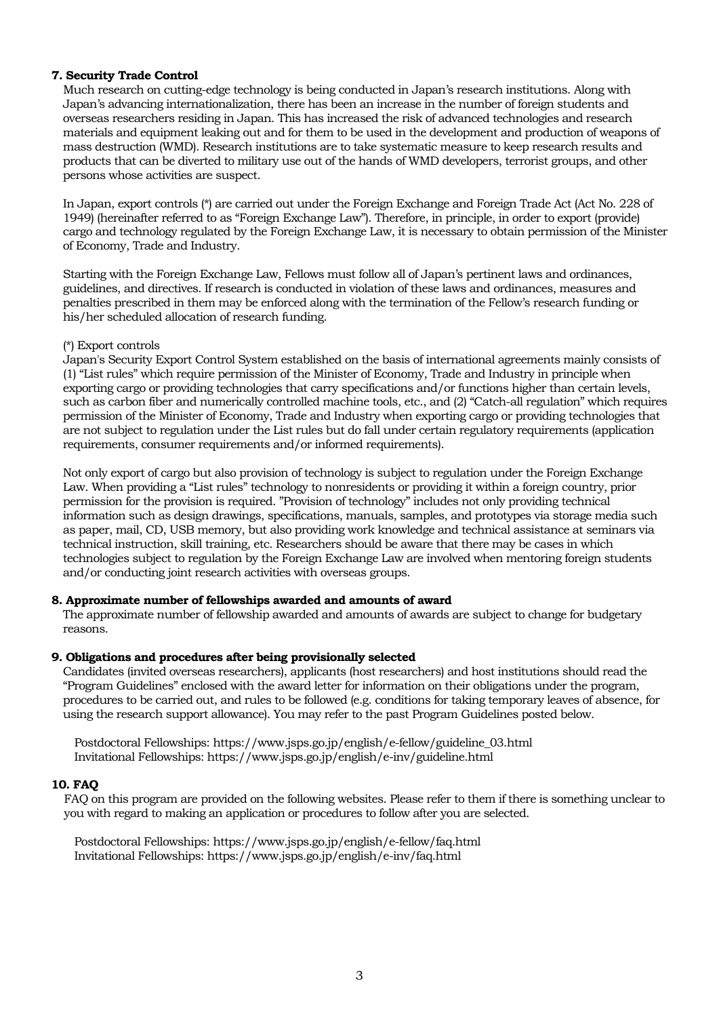#### **7. Security Trade Control**

Much research on cutting-edge technology is being conducted in Japan's research institutions. Along with Japan's advancing internationalization, there has been an increase in the number of foreign students and overseas researchers residing in Japan. This has increased the risk of advanced technologies and research materials and equipment leaking out and for them to be used in the development and production of weapons of mass destruction (WMD). Research institutions are to take systematic measure to keep research results and products that can be diverted to military use out of the hands of WMD developers, terrorist groups, and other persons whose activities are suspect.

In Japan, export controls (\*) are carried out under the Foreign Exchange and Foreign Trade Act (Act No. 228 of 1949) (hereinafter referred to as "Foreign Exchange Law"). Therefore, in principle, in order to export (provide) cargo and technology regulated by the Foreign Exchange Law, it is necessary to obtain permission of the Minister of Economy, Trade and Industry.

Starting with the Foreign Exchange Law, Fellows must follow all of Japan's pertinent laws and ordinances, guidelines, and directives. If research is conducted in violation of these laws and ordinances, measures and penalties prescribed in them may be enforced along with the termination of the Fellow's research funding or his/her scheduled allocation of research funding.

#### (\*) Export controls

Japan's Security Export Control System established on the basis of international agreements mainly consists of (1) "List rules" which require permission of the Minister of Economy, Trade and Industry in principle when exporting cargo or providing technologies that carry specifications and/or functions higher than certain levels, such as carbon fiber and numerically controlled machine tools, etc., and (2) "Catch-all regulation" which requires permission of the Minister of Economy, Trade and Industry when exporting cargo or providing technologies that are not subject to regulation under the List rules but do fall under certain regulatory requirements (application requirements, consumer requirements and/or informed requirements).

Not only export of cargo but also provision of technology is subject to regulation under the Foreign Exchange Law. When providing a "List rules" technology to nonresidents or providing it within a foreign country, prior permission for the provision is required. "Provision of technology" includes not only providing technical information such as design drawings, specifications, manuals, samples, and prototypes via storage media such as paper, mail, CD, USB memory, but also providing work knowledge and technical assistance at seminars via technical instruction, skill training, etc. Researchers should be aware that there may be cases in which technologies subject to regulation by the Foreign Exchange Law are involved when mentoring foreign students and/or conducting joint research activities with overseas groups.

## **8. Approximate number of fellowships awarded and amounts of award**

The approximate number of fellowship awarded and amounts of awards are subject to change for budgetary reasons.

## **9. Obligations and procedures after being provisionally selected**

Candidates (invited overseas researchers), applicants (host researchers) and host institutions should read the "Program Guidelines" enclosed with the award letter for information on their obligations under the program, procedures to be carried out, and rules to be followed (e.g. conditions for taking temporary leaves of absence, for using the research support allowance). You may refer to the past Program Guidelines posted below.

Postdoctoral Fellowships: https://www.jsps.go.jp/english/e-fellow/guideline\_03.html Invitational Fellowships: https://www.jsps.go.jp/english/e-inv/guideline.html

## **10. FAQ**

FAQ on this program are provided on the following websites. Please refer to them if there is something unclear to you with regard to making an application or procedures to follow after you are selected.

Postdoctoral Fellowships: https://www.jsps.go.jp/english/e-fellow/faq.html Invitational Fellowships: https://www.jsps.go.jp/english/e-inv/faq.html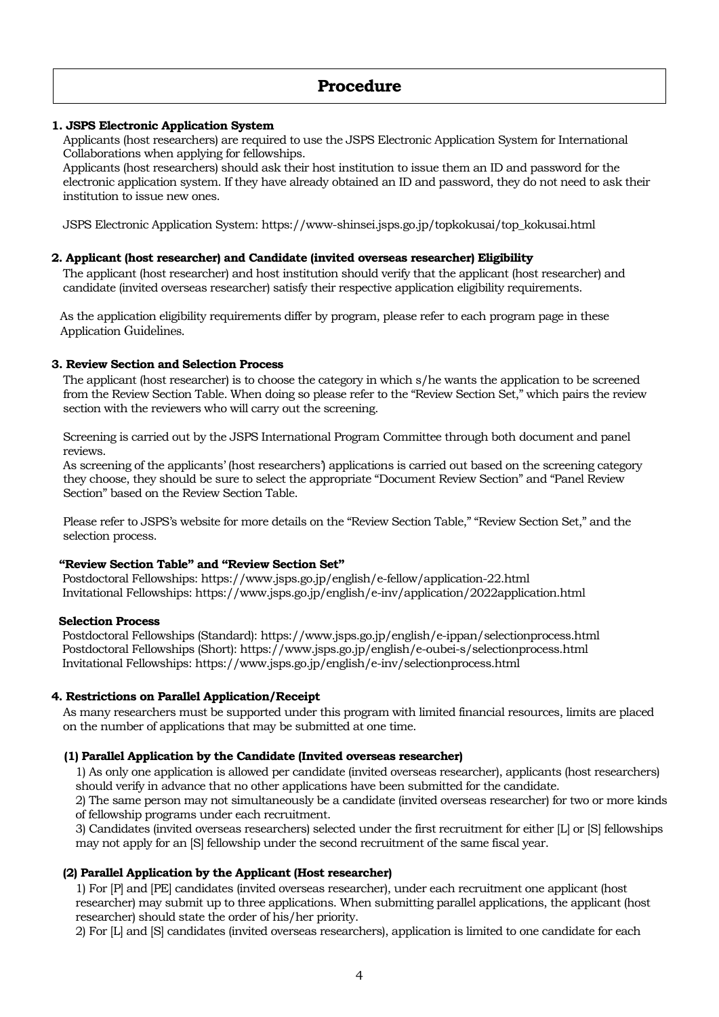## **Procedure**

## **1. JSPS Electronic Application System**

Applicants (host researchers) are required to use the JSPS Electronic Application System for International Collaborations when applying for fellowships.

Applicants (host researchers) should ask their host institution to issue them an ID and password for the electronic application system. If they have already obtained an ID and password, they do not need to ask their institution to issue new ones.

JSPS Electronic Application System: https://www-shinsei.jsps.go.jp/topkokusai/top\_kokusai.html

#### **2. Applicant (host researcher) and Candidate (invited overseas researcher) Eligibility**

The applicant (host researcher) and host institution should verify that the applicant (host researcher) and candidate (invited overseas researcher) satisfy their respective application eligibility requirements.

As the application eligibility requirements differ by program, please refer to each program page in these Application Guidelines.

#### **3. Review Section and Selection Process**

The applicant (host researcher) is to choose the category in which s/he wants the application to be screened from the Review Section Table. When doing so please refer to the "Review Section Set," which pairs the review section with the reviewers who will carry out the screening.

Screening is carried out by the JSPS International Program Committee through both document and panel reviews.

As screening of the applicants' (host researchers') applications is carried out based on the screening category they choose, they should be sure to select the appropriate "Document Review Section" and "Panel Review Section" based on the Review Section Table.

Please refer to JSPS's website for more details on the "Review Section Table," "Review Section Set," and the selection process.

#### **"Review Section Table" and "Review Section Set"**

 Postdoctoral Fellowships: https://www.jsps.go.jp/english/e-fellow/application-22.html Invitational Fellowships: https://www.jsps.go.jp/english/e-inv/application/2022application.html

#### **Selection Process**

Postdoctoral Fellowships (Standard): https://www.jsps.go.jp/english/e-ippan/selectionprocess.html Postdoctoral Fellowships (Short): https://www.jsps.go.jp/english/e-oubei-s/selectionprocess.html Invitational Fellowships: https://www.jsps.go.jp/english/e-inv/selectionprocess.html

#### **4. Restrictions on Parallel Application/Receipt**

As many researchers must be supported under this program with limited financial resources, limits are placed on the number of applications that may be submitted at one time.

#### **(1) Parallel Application by the Candidate (Invited overseas researcher)**

1) As only one application is allowed per candidate (invited overseas researcher), applicants (host researchers) should verify in advance that no other applications have been submitted for the candidate.

2) The same person may not simultaneously be a candidate (invited overseas researcher) for two or more kinds of fellowship programs under each recruitment.

3) Candidates (invited overseas researchers) selected under the first recruitment for either [L] or [S] fellowships may not apply for an [S] fellowship under the second recruitment of the same fiscal year.

#### **(2) Parallel Application by the Applicant (Host researcher)**

1) For [P] and [PE] candidates (invited overseas researcher), under each recruitment one applicant (host researcher) may submit up to three applications. When submitting parallel applications, the applicant (host researcher) should state the order of his/her priority.

2) For [L] and [S] candidates (invited overseas researchers), application is limited to one candidate for each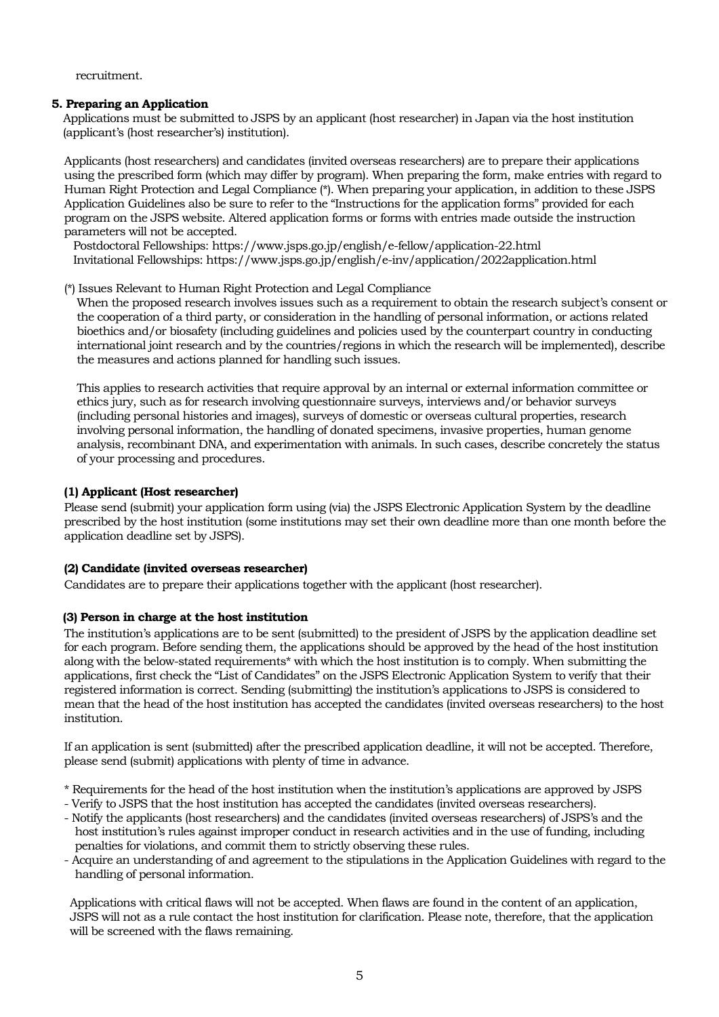recruitment.

### **5. Preparing an Application**

Applications must be submitted to JSPS by an applicant (host researcher) in Japan via the host institution (applicant's (host researcher's) institution).

Applicants (host researchers) and candidates (invited overseas researchers) are to prepare their applications using the prescribed form (which may differ by program). When preparing the form, make entries with regard to Human Right Protection and Legal Compliance (\*). When preparing your application, in addition to these JSPS Application Guidelines also be sure to refer to the "Instructions for the application forms" provided for each program on the JSPS website. Altered application forms or forms with entries made outside the instruction parameters will not be accepted.

Postdoctoral Fellowships: https://www.jsps.go.jp/english/e-fellow/application-22.html Invitational Fellowships: https://www.jsps.go.jp/english/e-inv/application/2022application.html

(\*) Issues Relevant to Human Right Protection and Legal Compliance

When the proposed research involves issues such as a requirement to obtain the research subject's consent or the cooperation of a third party, or consideration in the handling of personal information, or actions related bioethics and/or biosafety (including guidelines and policies used by the counterpart country in conducting international joint research and by the countries/regions in which the research will be implemented), describe the measures and actions planned for handling such issues.

This applies to research activities that require approval by an internal or external information committee or ethics jury, such as for research involving questionnaire surveys, interviews and/or behavior surveys (including personal histories and images), surveys of domestic or overseas cultural properties, research involving personal information, the handling of donated specimens, invasive properties, human genome analysis, recombinant DNA, and experimentation with animals. In such cases, describe concretely the status of your processing and procedures.

## **(1) Applicant (Host researcher)**

Please send (submit) your application form using (via) the JSPS Electronic Application System by the deadline prescribed by the host institution (some institutions may set their own deadline more than one month before the application deadline set by JSPS).

## **(2) Candidate (invited overseas researcher)**

Candidates are to prepare their applications together with the applicant (host researcher).

## **(3) Person in charge at the host institution**

The institution's applications are to be sent (submitted) to the president of JSPS by the application deadline set for each program. Before sending them, the applications should be approved by the head of the host institution along with the below-stated requirements\* with which the host institution is to comply. When submitting the applications, first check the "List of Candidates" on the JSPS Electronic Application System to verify that their registered information is correct. Sending (submitting) the institution's applications to JSPS is considered to mean that the head of the host institution has accepted the candidates (invited overseas researchers) to the host institution.

If an application is sent (submitted) after the prescribed application deadline, it will not be accepted. Therefore, please send (submit) applications with plenty of time in advance.

- \* Requirements for the head of the host institution when the institution's applications are approved by JSPS
- Verify to JSPS that the host institution has accepted the candidates (invited overseas researchers).
- Notify the applicants (host researchers) and the candidates (invited overseas researchers) of JSPS's and the host institution's rules against improper conduct in research activities and in the use of funding, including penalties for violations, and commit them to strictly observing these rules.
- Acquire an understanding of and agreement to the stipulations in the Application Guidelines with regard to the handling of personal information.

Applications with critical flaws will not be accepted. When flaws are found in the content of an application, JSPS will not as a rule contact the host institution for clarification. Please note, therefore, that the application will be screened with the flaws remaining.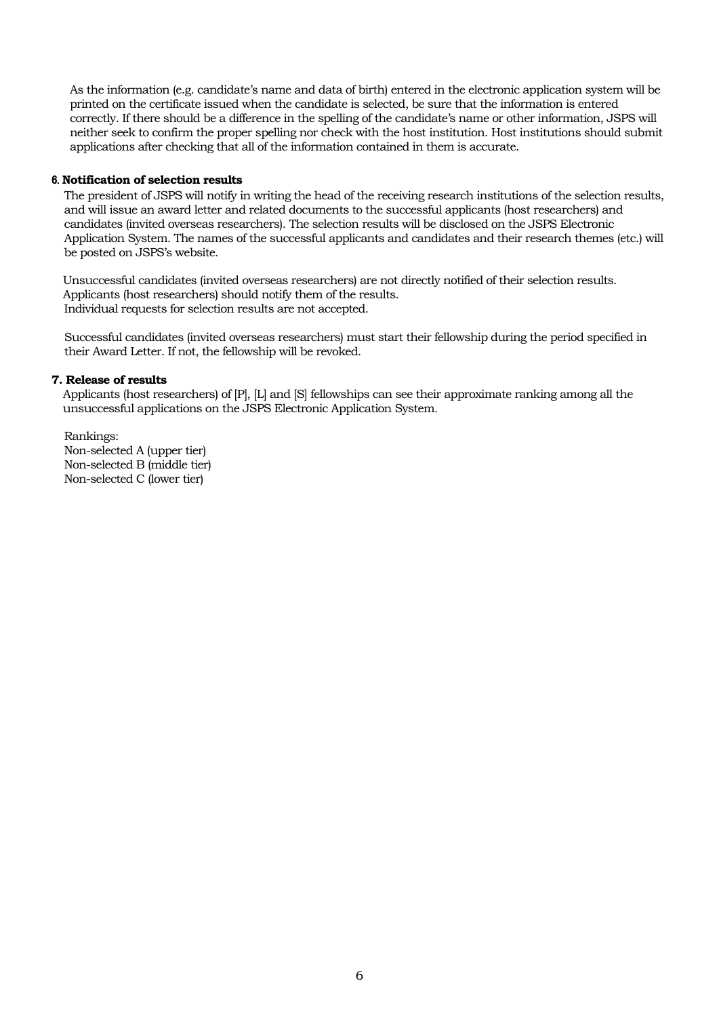As the information (e.g. candidate's name and data of birth) entered in the electronic application system will be printed on the certificate issued when the candidate is selected, be sure that the information is entered correctly. If there should be a difference in the spelling of the candidate's name or other information, JSPS will neither seek to confirm the proper spelling nor check with the host institution. Host institutions should submit applications after checking that all of the information contained in them is accurate.

#### 6. **Notification of selection results**

The president of JSPS will notify in writing the head of the receiving research institutions of the selection results, and will issue an award letter and related documents to the successful applicants (host researchers) and candidates (invited overseas researchers). The selection results will be disclosed on the JSPS Electronic Application System. The names of the successful applicants and candidates and their research themes (etc.) will be posted on JSPS's website.

Unsuccessful candidates (invited overseas researchers) are not directly notified of their selection results. Applicants (host researchers) should notify them of the results. Individual requests for selection results are not accepted.

Successful candidates (invited overseas researchers) must start their fellowship during the period specified in their Award Letter. If not, the fellowship will be revoked.

#### **7. Release of results**

Applicants (host researchers) of [P], [L] and [S] fellowships can see their approximate ranking among all the unsuccessful applications on the JSPS Electronic Application System.

Rankings: Non-selected A (upper tier) Non-selected B (middle tier) Non-selected C (lower tier)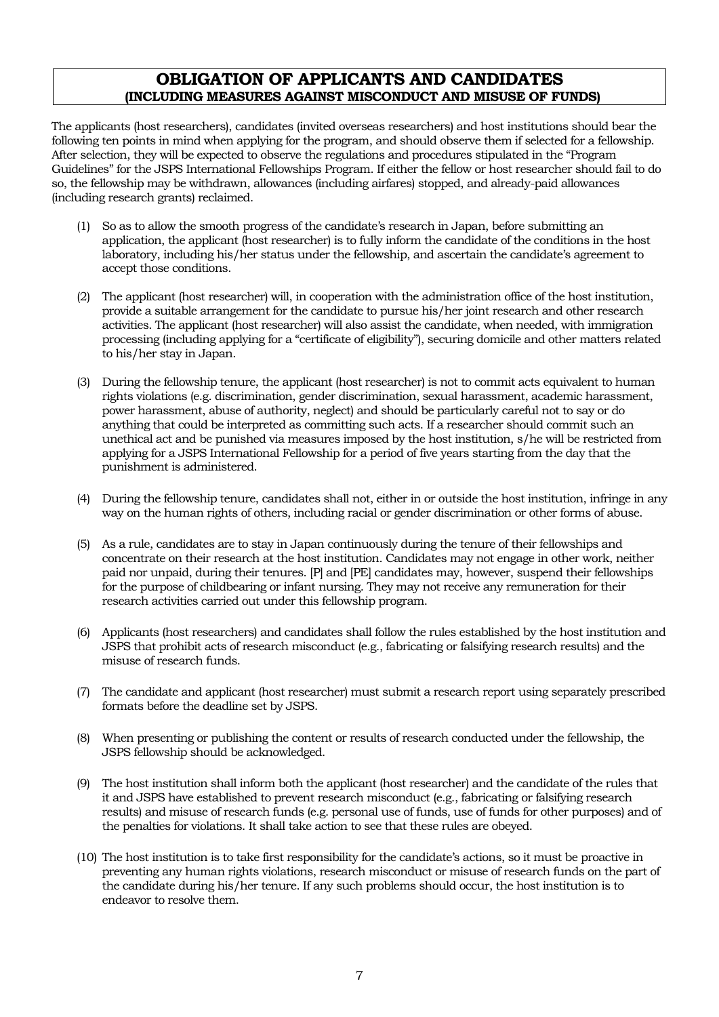## **OBLIGATION OF APPLICANTS AND CANDIDATES (INCLUDING MEASURES AGAINST MISCONDUCT AND MISUSE OF FUNDS)**

The applicants (host researchers), candidates (invited overseas researchers) and host institutions should bear the following ten points in mind when applying for the program, and should observe them if selected for a fellowship. After selection, they will be expected to observe the regulations and procedures stipulated in the "Program Guidelines" for the JSPS International Fellowships Program. If either the fellow or host researcher should fail to do so, the fellowship may be withdrawn, allowances (including airfares) stopped, and already-paid allowances (including research grants) reclaimed.

- (1) So as to allow the smooth progress of the candidate's research in Japan, before submitting an application, the applicant (host researcher) is to fully inform the candidate of the conditions in the host laboratory, including his/her status under the fellowship, and ascertain the candidate's agreement to accept those conditions.
- (2) The applicant (host researcher) will, in cooperation with the administration office of the host institution, provide a suitable arrangement for the candidate to pursue his/her joint research and other research activities. The applicant (host researcher) will also assist the candidate, when needed, with immigration processing (including applying for a "certificate of eligibility"), securing domicile and other matters related to his/her stay in Japan.
- (3) During the fellowship tenure, the applicant (host researcher) is not to commit acts equivalent to human rights violations (e.g. discrimination, gender discrimination, sexual harassment, academic harassment, power harassment, abuse of authority, neglect) and should be particularly careful not to say or do anything that could be interpreted as committing such acts. If a researcher should commit such an unethical act and be punished via measures imposed by the host institution, s/he will be restricted from applying for a JSPS International Fellowship for a period of five years starting from the day that the punishment is administered.
- (4) During the fellowship tenure, candidates shall not, either in or outside the host institution, infringe in any way on the human rights of others, including racial or gender discrimination or other forms of abuse.
- (5) As a rule, candidates are to stay in Japan continuously during the tenure of their fellowships and concentrate on their research at the host institution. Candidates may not engage in other work, neither paid nor unpaid, during their tenures. [P] and [PE] candidates may, however, suspend their fellowships for the purpose of childbearing or infant nursing. They may not receive any remuneration for their research activities carried out under this fellowship program.
- (6) Applicants (host researchers) and candidates shall follow the rules established by the host institution and JSPS that prohibit acts of research misconduct (e.g., fabricating or falsifying research results) and the misuse of research funds.
- (7) The candidate and applicant (host researcher) must submit a research report using separately prescribed formats before the deadline set by JSPS.
- (8) When presenting or publishing the content or results of research conducted under the fellowship, the JSPS fellowship should be acknowledged.
- (9) The host institution shall inform both the applicant (host researcher) and the candidate of the rules that it and JSPS have established to prevent research misconduct (e.g., fabricating or falsifying research results) and misuse of research funds (e.g. personal use of funds, use of funds for other purposes) and of the penalties for violations. It shall take action to see that these rules are obeyed.
- (10) The host institution is to take first responsibility for the candidate's actions, so it must be proactive in preventing any human rights violations, research misconduct or misuse of research funds on the part of the candidate during his/her tenure. If any such problems should occur, the host institution is to endeavor to resolve them.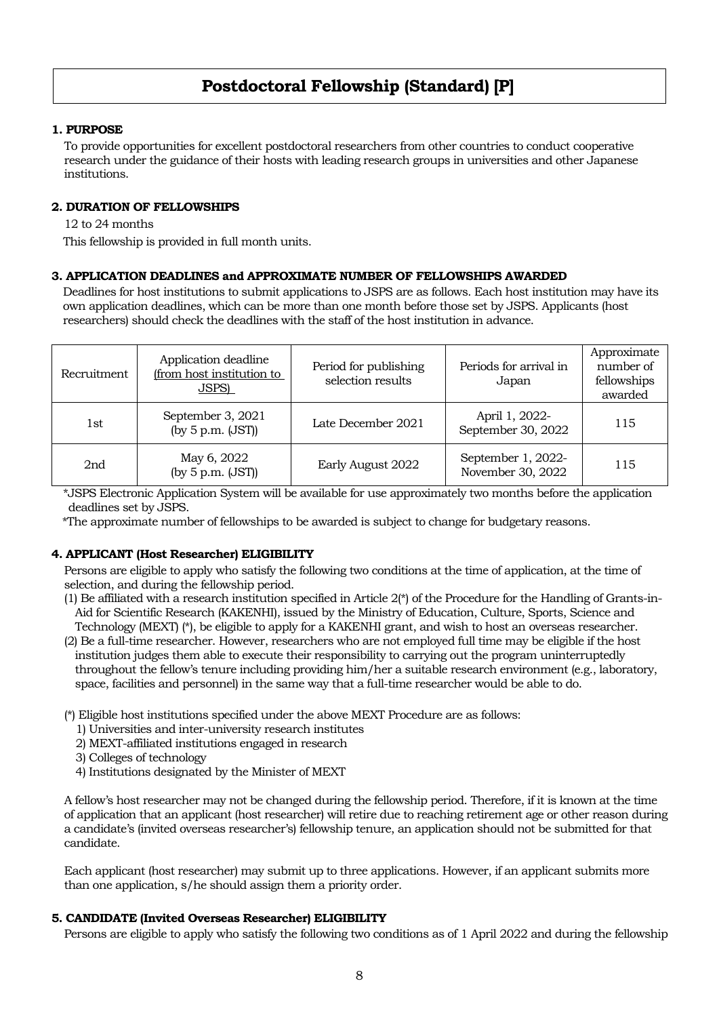# **Postdoctoral Fellowship (Standard) [P]**

## **1. PURPOSE**

To provide opportunities for excellent postdoctoral researchers from other countries to conduct cooperative research under the guidance of their hosts with leading research groups in universities and other Japanese institutions.

## **2. DURATION OF FELLOWSHIPS**

12 to 24 months

This fellowship is provided in full month units.

## **3. APPLICATION DEADLINES and APPROXIMATE NUMBER OF FELLOWSHIPS AWARDED**

Deadlines for host institutions to submit applications to JSPS are as follows. Each host institution may have its own application deadlines, which can be more than one month before those set by JSPS. Applicants (host researchers) should check the deadlines with the staff of the host institution in advance.

| Recruitment | Application deadline<br>(from host institution to<br>JSPS) | Period for publishing<br>selection results | Periods for arrival in<br>Japan         | Approximate<br>number of<br>fellowships<br>awarded |
|-------------|------------------------------------------------------------|--------------------------------------------|-----------------------------------------|----------------------------------------------------|
| 1st         | September 3, 2021<br>(by $5$ p.m. $(JST)$ )                | Late December 2021                         | April 1, 2022-<br>September 30, 2022    | 115                                                |
| 2nd         | May 6, 2022<br>(by 5 p.m. (JST))                           | Early August 2022                          | September 1, 2022-<br>November 30, 2022 | 115                                                |

\*JSPS Electronic Application System will be available for use approximately two months before the application deadlines set by JSPS.

\*The approximate number of fellowships to be awarded is subject to change for budgetary reasons.

## **4. APPLICANT (Host Researcher) ELIGIBILITY**

Persons are eligible to apply who satisfy the following two conditions at the time of application, at the time of selection, and during the fellowship period.

- (1) Be affiliated with a research institution specified in Article 2(\*) of the Procedure for the Handling of Grants-in-Aid for Scientific Research (KAKENHI), issued by the Ministry of Education, Culture, Sports, Science and Technology (MEXT) (\*), be eligible to apply for a KAKENHI grant, and wish to host an overseas researcher.
- (2) Be a full-time researcher. However, researchers who are not employed full time may be eligible if the host institution judges them able to execute their responsibility to carrying out the program uninterruptedly throughout the fellow's tenure including providing him/her a suitable research environment (e.g., laboratory, space, facilities and personnel) in the same way that a full-time researcher would be able to do.

(\*) Eligible host institutions specified under the above MEXT Procedure are as follows:

- 1) Universities and inter-university research institutes
- 2) MEXT-affiliated institutions engaged in research
- 3) Colleges of technology
- 4) Institutions designated by the Minister of MEXT

A fellow's host researcher may not be changed during the fellowship period. Therefore, if it is known at the time of application that an applicant (host researcher) will retire due to reaching retirement age or other reason during a candidate's (invited overseas researcher's) fellowship tenure, an application should not be submitted for that candidate.

Each applicant (host researcher) may submit up to three applications. However, if an applicant submits more than one application, s/he should assign them a priority order.

## **5. CANDIDATE (Invited Overseas Researcher) ELIGIBILITY**

Persons are eligible to apply who satisfy the following two conditions as of 1 April 2022 and during the fellowship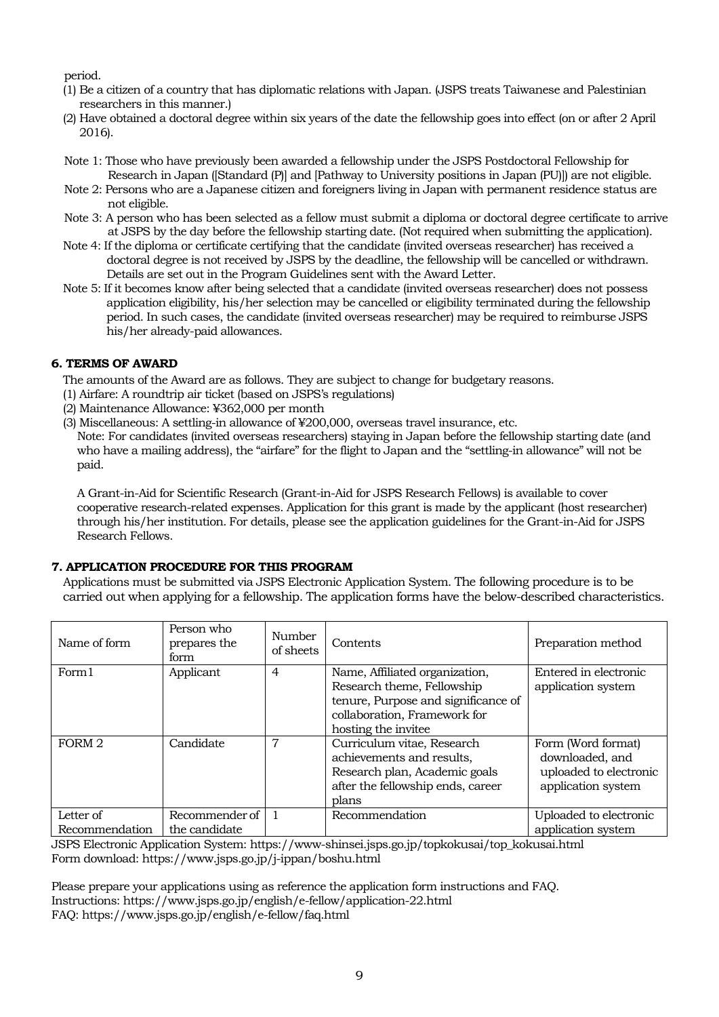period.

- (1) Be a citizen of a country that has diplomatic relations with Japan. (JSPS treats Taiwanese and Palestinian researchers in this manner.)
- (2) Have obtained a doctoral degree within six years of the date the fellowship goes into effect (on or after 2 April 2016).
- Note 1: Those who have previously been awarded a fellowship under the JSPS Postdoctoral Fellowship for Research in Japan ([Standard (P)] and [Pathway to University positions in Japan (PU)]) are not eligible.
- Note 2: Persons who are a Japanese citizen and foreigners living in Japan with permanent residence status are not eligible.
- Note 3: A person who has been selected as a fellow must submit a diploma or doctoral degree certificate to arrive at JSPS by the day before the fellowship starting date. (Not required when submitting the application).
- Note 4: If the diploma or certificate certifying that the candidate (invited overseas researcher) has received a doctoral degree is not received by JSPS by the deadline, the fellowship will be cancelled or withdrawn. Details are set out in the Program Guidelines sent with the Award Letter.
- Note 5: If it becomes know after being selected that a candidate (invited overseas researcher) does not possess application eligibility, his/her selection may be cancelled or eligibility terminated during the fellowship period. In such cases, the candidate (invited overseas researcher) may be required to reimburse JSPS his/her already-paid allowances.

## **6. TERMS OF AWARD**

The amounts of the Award are as follows. They are subject to change for budgetary reasons.

- (1) Airfare: A roundtrip air ticket (based on JSPS's regulations)
- (2) Maintenance Allowance: ¥362,000 per month
- (3) Miscellaneous: A settling-in allowance of ¥200,000, overseas travel insurance, etc.

Note: For candidates (invited overseas researchers) staying in Japan before the fellowship starting date (and who have a mailing address), the "airfare" for the flight to Japan and the "settling-in allowance" will not be paid.

A Grant-in-Aid for Scientific Research (Grant-in-Aid for JSPS Research Fellows) is available to cover cooperative research-related expenses. Application for this grant is made by the applicant (host researcher) through his/her institution. For details, please see the application guidelines for the Grant-in-Aid for JSPS Research Fellows.

## **7. APPLICATION PROCEDURE FOR THIS PROGRAM**

Applications must be submitted via JSPS Electronic Application System. The following procedure is to be carried out when applying for a fellowship. The application forms have the below-described characteristics.

| Name of form                | Person who<br>prepares the<br>form | Number<br>of sheets | Contents                                                                                                                                                    | Preparation method                                                                    |
|-----------------------------|------------------------------------|---------------------|-------------------------------------------------------------------------------------------------------------------------------------------------------------|---------------------------------------------------------------------------------------|
| Form1                       | Applicant                          | 4                   | Name, Affiliated organization,<br>Research theme, Fellowship<br>tenure, Purpose and significance of<br>collaboration, Framework for<br>hosting the invitee. | Entered in electronic<br>application system                                           |
| FORM <sub>2</sub>           | Candidate                          | 7                   | Curriculum vitae, Research<br>achievements and results,<br>Research plan, Academic goals<br>after the fellowship ends, career<br>plans                      | Form (Word format)<br>downloaded, and<br>uploaded to electronic<br>application system |
| Letter of<br>Recommendation | Recommender of<br>the candidate    |                     | Recommendation                                                                                                                                              | Uploaded to electronic<br>application system                                          |

JSPS Electronic Application System: https://www-shinsei.jsps.go.jp/topkokusai/top\_kokusai.html Form download: https://www.jsps.go.jp/j-ippan/boshu.html

Please prepare your applications using as reference the application form instructions and FAQ. Instructions: https://www.jsps.go.jp/english/e-fellow/application-22.html FAQ: https://www.jsps.go.jp/english/e-fellow/faq.html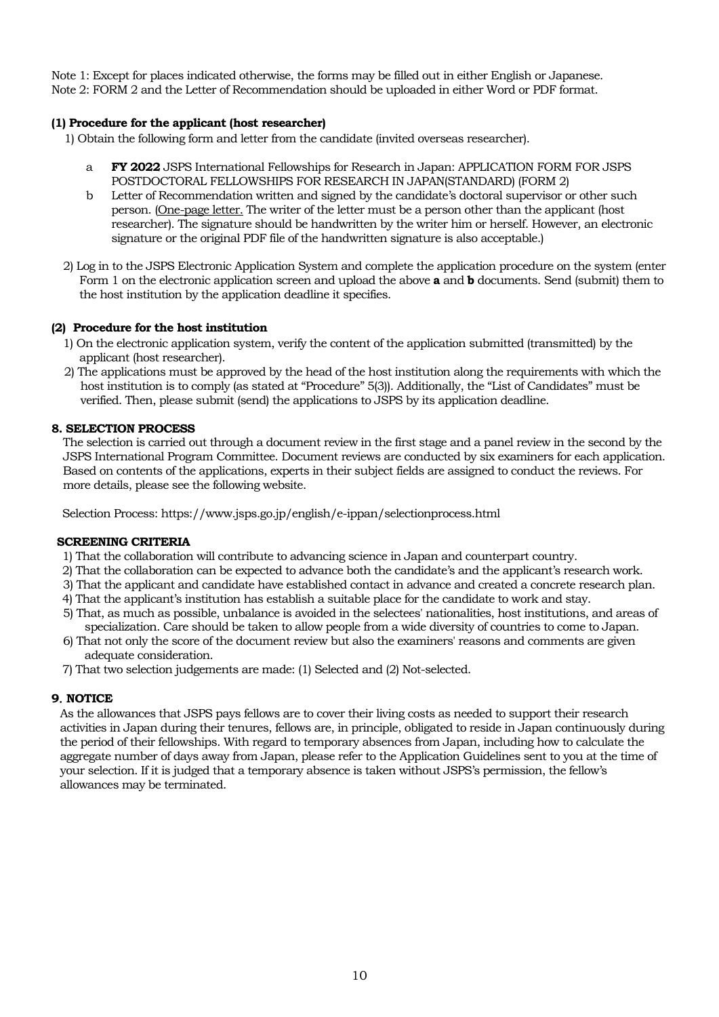Note 1: Except for places indicated otherwise, the forms may be filled out in either English or Japanese. Note 2: FORM 2 and the Letter of Recommendation should be uploaded in either Word or PDF format.

## **(1) Procedure for the applicant (host researcher)**

1) Obtain the following form and letter from the candidate (invited overseas researcher).

- a **FY 2022** JSPS International Fellowships for Research in Japan: APPLICATION FORM FOR JSPS POSTDOCTORAL FELLOWSHIPS FOR RESEARCH IN JAPAN(STANDARD) (FORM 2)
- b Letter of Recommendation written and signed by the candidate's doctoral supervisor or other such person. (One-page letter. The writer of the letter must be a person other than the applicant (host researcher). The signature should be handwritten by the writer him or herself. However, an electronic signature or the original PDF file of the handwritten signature is also acceptable.)
- 2) Log in to the JSPS Electronic Application System and complete the application procedure on the system (enter Form 1 on the electronic application screen and upload the above **a** and **b** documents. Send (submit) them to the host institution by the application deadline it specifies.

## **(2) Procedure for the host institution**

- 1) On the electronic application system, verify the content of the application submitted (transmitted) by the applicant (host researcher).
- 2) The applications must be approved by the head of the host institution along the requirements with which the host institution is to comply (as stated at "Procedure" 5(3)). Additionally, the "List of Candidates" must be verified. Then, please submit (send) the applications to JSPS by its application deadline.

## **8. SELECTION PROCESS**

The selection is carried out through a document review in the first stage and a panel review in the second by the JSPS International Program Committee. Document reviews are conducted by six examiners for each application. Based on contents of the applications, experts in their subject fields are assigned to conduct the reviews. For more details, please see the following website.

Selection Process: https://www.jsps.go.jp/english/e-ippan/selectionprocess.html

## **SCREENING CRITERIA**

- 1) That the collaboration will contribute to advancing science in Japan and counterpart country.
- 2) That the collaboration can be expected to advance both the candidate's and the applicant's research work.
- 3) That the applicant and candidate have established contact in advance and created a concrete research plan.
- 4) That the applicant's institution has establish a suitable place for the candidate to work and stay.
- 5) That, as much as possible, unbalance is avoided in the selectees' nationalities, host institutions, and areas of specialization. Care should be taken to allow people from a wide diversity of countries to come to Japan.
- 6) That not only the score of the document review but also the examiners' reasons and comments are given adequate consideration.
- 7) That two selection judgements are made: (1) Selected and (2) Not-selected.

## **9**.**NOTICE**

As the allowances that JSPS pays fellows are to cover their living costs as needed to support their research activities in Japan during their tenures, fellows are, in principle, obligated to reside in Japan continuously during the period of their fellowships. With regard to temporary absences from Japan, including how to calculate the aggregate number of days away from Japan, please refer to the Application Guidelines sent to you at the time of your selection. If it is judged that a temporary absence is taken without JSPS's permission, the fellow's allowances may be terminated.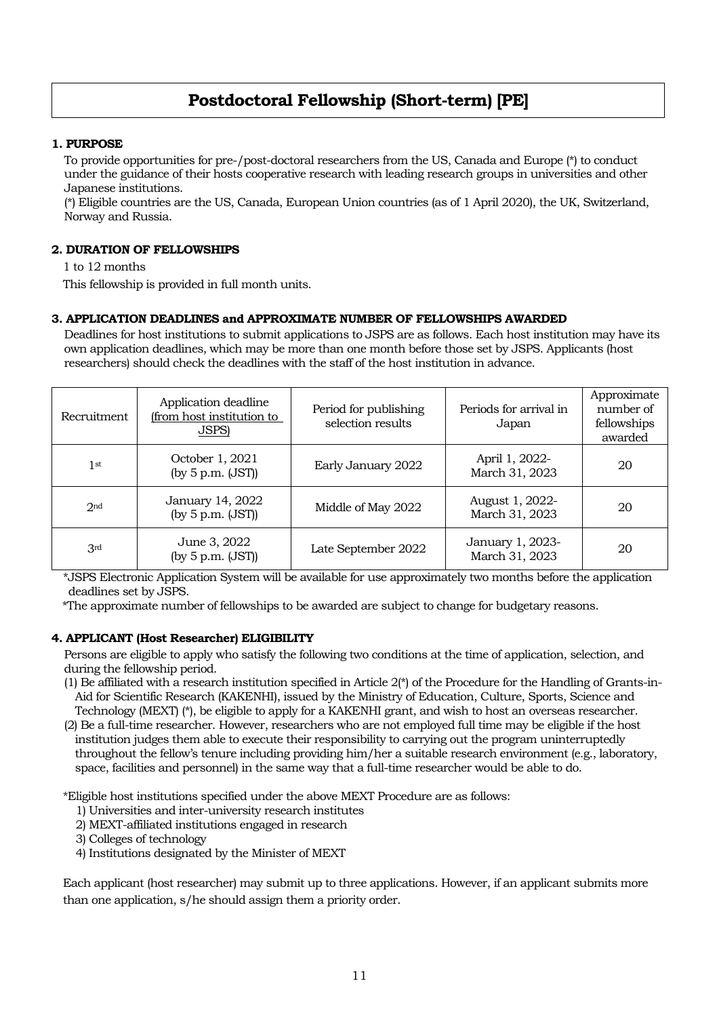# **Postdoctoral Fellowship (Short-term) [PE]**

## **1. PURPOSE**

To provide opportunities for pre-/post-doctoral researchers from the US, Canada and Europe (\*) to conduct under the guidance of their hosts cooperative research with leading research groups in universities and other Japanese institutions.

(\*) Eligible countries are the US, Canada, European Union countries (as of 1 April 2020), the UK, Switzerland, Norway and Russia.

## **2. DURATION OF FELLOWSHIPS**

1 to 12 months

This fellowship is provided in full month units.

## **3. APPLICATION DEADLINES and APPROXIMATE NUMBER OF FELLOWSHIPS AWARDED**

Deadlines for host institutions to submit applications to JSPS are as follows. Each host institution may have its own application deadlines, which may be more than one month before those set by JSPS. Applicants (host researchers) should check the deadlines with the staff of the host institution in advance.

| Recruitment     | Application deadline<br>(from host institution to<br><b>JSPS)</b> | Period for publishing<br>selection results | Periods for arrival in<br>Japan    | Approximate<br>number of<br>fellowships<br>awarded |
|-----------------|-------------------------------------------------------------------|--------------------------------------------|------------------------------------|----------------------------------------------------|
| 1 <sup>st</sup> | October 1, 2021<br>(by 5 p.m. (JST))                              | Early January 2022                         | April 1, 2022-<br>March 31, 2023   | 20                                                 |
| 2 <sub>nd</sub> | January 14, 2022<br>(by 5 p.m. (JST))                             | Middle of May 2022                         | August 1, 2022-<br>March 31, 2023  | 20                                                 |
| 3 <sup>rd</sup> | June 3, 2022<br>(by 5 p.m. (JST))                                 | Late September 2022                        | January 1, 2023-<br>March 31, 2023 | 20                                                 |

\*JSPS Electronic Application System will be available for use approximately two months before the application deadlines set by JSPS.

\*The approximate number of fellowships to be awarded are subject to change for budgetary reasons.

## **4. APPLICANT (Host Researcher) ELIGIBILITY**

Persons are eligible to apply who satisfy the following two conditions at the time of application, selection, and during the fellowship period.

- (1) Be affiliated with a research institution specified in Article 2(\*) of the Procedure for the Handling of Grants-in-Aid for Scientific Research (KAKENHI), issued by the Ministry of Education, Culture, Sports, Science and Technology (MEXT) (\*), be eligible to apply for a KAKENHI grant, and wish to host an overseas researcher.
- (2) Be a full-time researcher. However, researchers who are not employed full time may be eligible if the host institution judges them able to execute their responsibility to carrying out the program uninterruptedly throughout the fellow's tenure including providing him/her a suitable research environment (e.g., laboratory, space, facilities and personnel) in the same way that a full-time researcher would be able to do.

\*Eligible host institutions specified under the above MEXT Procedure are as follows:

- 1) Universities and inter-university research institutes
- 2) MEXT-affiliated institutions engaged in research
- 3) Colleges of technology
- 4) Institutions designated by the Minister of MEXT

Each applicant (host researcher) may submit up to three applications. However, if an applicant submits more than one application, s/he should assign them a priority order.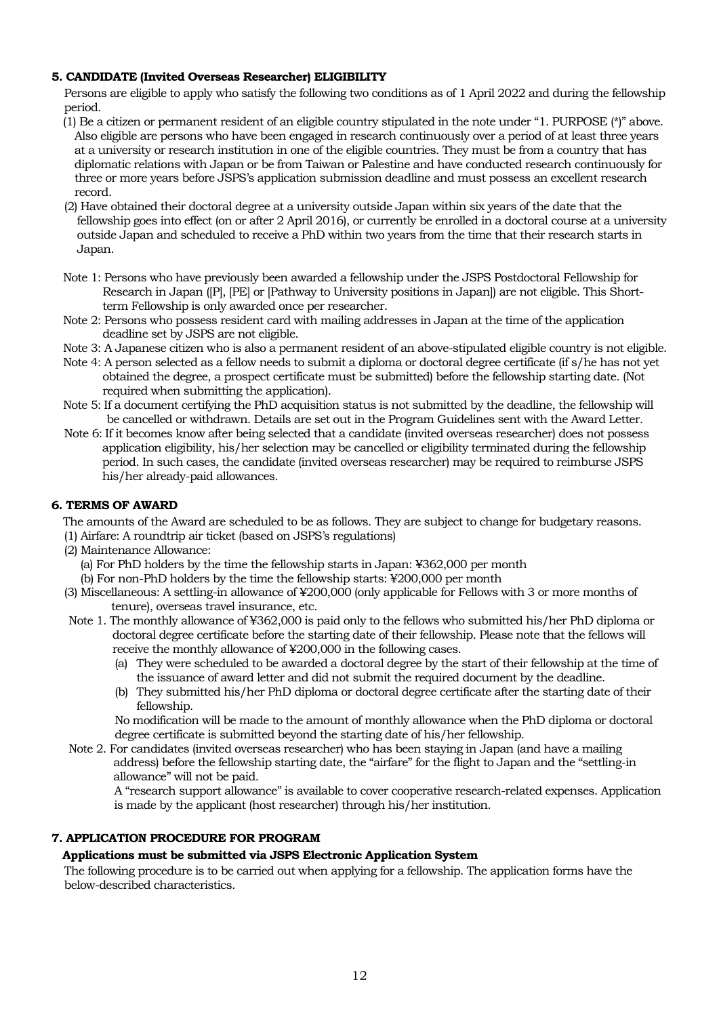## **5. CANDIDATE (Invited Overseas Researcher) ELIGIBILITY**

Persons are eligible to apply who satisfy the following two conditions as of 1 April 2022 and during the fellowship period.

- (1) Be a citizen or permanent resident of an eligible country stipulated in the note under "1. PURPOSE (\*)" above. Also eligible are persons who have been engaged in research continuously over a period of at least three years at a university or research institution in one of the eligible countries. They must be from a country that has diplomatic relations with Japan or be from Taiwan or Palestine and have conducted research continuously for three or more years before JSPS's application submission deadline and must possess an excellent research record.
- (2) Have obtained their doctoral degree at a university outside Japan within six years of the date that the fellowship goes into effect (on or after 2 April 2016), or currently be enrolled in a doctoral course at a university outside Japan and scheduled to receive a PhD within two years from the time that their research starts in Japan.
- Note 1: Persons who have previously been awarded a fellowship under the JSPS Postdoctoral Fellowship for Research in Japan ([P], [PE] or [Pathway to University positions in Japan]) are not eligible. This Shortterm Fellowship is only awarded once per researcher.
- Note 2: Persons who possess resident card with mailing addresses in Japan at the time of the application deadline set by JSPS are not eligible.
- Note 3: A Japanese citizen who is also a permanent resident of an above-stipulated eligible country is not eligible.
- Note 4: A person selected as a fellow needs to submit a diploma or doctoral degree certificate (if s/he has not yet obtained the degree, a prospect certificate must be submitted) before the fellowship starting date. (Not required when submitting the application).
- Note 5: If a document certifying the PhD acquisition status is not submitted by the deadline, the fellowship will be cancelled or withdrawn. Details are set out in the Program Guidelines sent with the Award Letter.
- Note 6: If it becomes know after being selected that a candidate (invited overseas researcher) does not possess application eligibility, his/her selection may be cancelled or eligibility terminated during the fellowship period. In such cases, the candidate (invited overseas researcher) may be required to reimburse JSPS his/her already-paid allowances.

## **6. TERMS OF AWARD**

The amounts of the Award are scheduled to be as follows. They are subject to change for budgetary reasons.

- (1) Airfare: A roundtrip air ticket (based on JSPS's regulations)
- (2) Maintenance Allowance:
	- (a) For PhD holders by the time the fellowship starts in Japan: ¥362,000 per month
	- (b) For non-PhD holders by the time the fellowship starts: ¥200,000 per month
- (3) Miscellaneous: A settling-in allowance of ¥200,000 (only applicable for Fellows with 3 or more months of tenure), overseas travel insurance, etc.
- Note 1. The monthly allowance of ¥362,000 is paid only to the fellows who submitted his/her PhD diploma or doctoral degree certificate before the starting date of their fellowship. Please note that the fellows will receive the monthly allowance of ¥200,000 in the following cases.
	- (a) They were scheduled to be awarded a doctoral degree by the start of their fellowship at the time of the issuance of award letter and did not submit the required document by the deadline.
	- (b) They submitted his/her PhD diploma or doctoral degree certificate after the starting date of their fellowship.

No modification will be made to the amount of monthly allowance when the PhD diploma or doctoral degree certificate is submitted beyond the starting date of his/her fellowship.

Note 2. For candidates (invited overseas researcher) who has been staying in Japan (and have a mailing address) before the fellowship starting date, the "airfare" for the flight to Japan and the "settling-in allowance" will not be paid.

A "research support allowance" is available to cover cooperative research-related expenses. Application is made by the applicant (host researcher) through his/her institution.

## **7. APPLICATION PROCEDURE FOR PROGRAM**

#### **Applications must be submitted via JSPS Electronic Application System**

The following procedure is to be carried out when applying for a fellowship. The application forms have the below-described characteristics.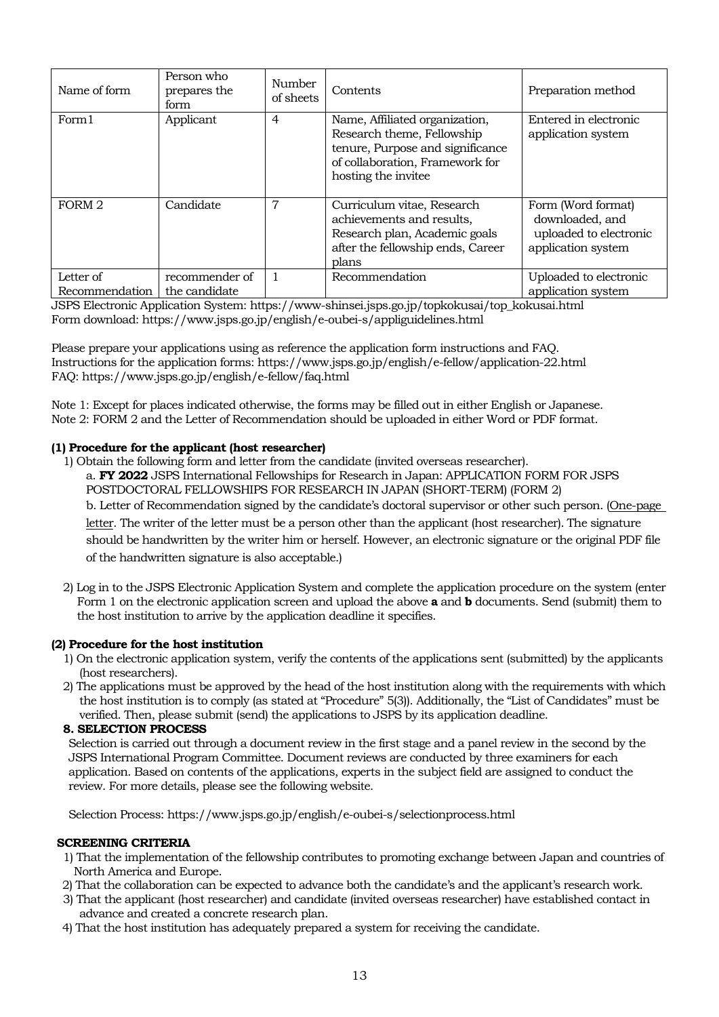| Name of form                | Person who<br>prepares the<br>form | Number<br>of sheets | Contents                                                                                                                                                   | Preparation method                                                                    |
|-----------------------------|------------------------------------|---------------------|------------------------------------------------------------------------------------------------------------------------------------------------------------|---------------------------------------------------------------------------------------|
| Form1                       | Applicant                          | $\overline{4}$      | Name, Affiliated organization,<br>Research theme, Fellowship<br>tenure, Purpose and significance<br>of collaboration, Framework for<br>hosting the invitee | Entered in electronic<br>application system                                           |
| FORM 2                      | Candidate                          | 7                   | Curriculum vitae, Research<br>achievements and results,<br>Research plan, Academic goals<br>after the fellowship ends, Career<br>plans                     | Form (Word format)<br>downloaded, and<br>uploaded to electronic<br>application system |
| Letter of<br>Recommendation | recommender of<br>the candidate    |                     | Recommendation                                                                                                                                             | Uploaded to electronic<br>application system                                          |

JSPS Electronic Application System: https://www-shinsei.jsps.go.jp/topkokusai/top\_kokusai.html Form download: https://www.jsps.go.jp/english/e-oubei-s/appliguidelines.html

Please prepare your applications using as reference the application form instructions and FAQ. Instructions for the application forms: https://www.jsps.go.jp/english/e-fellow/application-22.html FAQ: https://www.jsps.go.jp/english/e-fellow/faq.html

Note 1: Except for places indicated otherwise, the forms may be filled out in either English or Japanese. Note 2: FORM 2 and the Letter of Recommendation should be uploaded in either Word or PDF format.

## **(1) Procedure for the applicant (host researcher)**

- 1) Obtain the following form and letter from the candidate (invited overseas researcher). a. **FY 2022** JSPS International Fellowships for Research in Japan: APPLICATION FORM FOR JSPS POSTDOCTORAL FELLOWSHIPS FOR RESEARCH IN JAPAN (SHORT-TERM) (FORM 2) b. Letter of Recommendation signed by the candidate's doctoral supervisor or other such person. (One-page letter. The writer of the letter must be a person other than the applicant (host researcher). The signature should be handwritten by the writer him or herself. However, an electronic signature or the original PDF file of the handwritten signature is also acceptable.)
- 2) Log in to the JSPS Electronic Application System and complete the application procedure on the system (enter Form 1 on the electronic application screen and upload the above **a** and **b** documents. Send (submit) them to the host institution to arrive by the application deadline it specifies.

## **(2) Procedure for the host institution**

- 1) On the electronic application system, verify the contents of the applications sent (submitted) by the applicants (host researchers).
- 2) The applications must be approved by the head of the host institution along with the requirements with which the host institution is to comply (as stated at "Procedure" 5(3)). Additionally, the "List of Candidates" must be verified. Then, please submit (send) the applications to JSPS by its application deadline.

#### **8. SELECTION PROCESS**

Selection is carried out through a document review in the first stage and a panel review in the second by the JSPS International Program Committee. Document reviews are conducted by three examiners for each application. Based on contents of the applications, experts in the subject field are assigned to conduct the review. For more details, please see the following website.

Selection Process: https://www.jsps.go.jp/english/e-oubei-s/selectionprocess.html

#### **SCREENING CRITERIA**

- 1) That the implementation of the fellowship contributes to promoting exchange between Japan and countries of North America and Europe.
- 2) That the collaboration can be expected to advance both the candidate's and the applicant's research work.
- 3) That the applicant (host researcher) and candidate (invited overseas researcher) have established contact in advance and created a concrete research plan.
- 4) That the host institution has adequately prepared a system for receiving the candidate.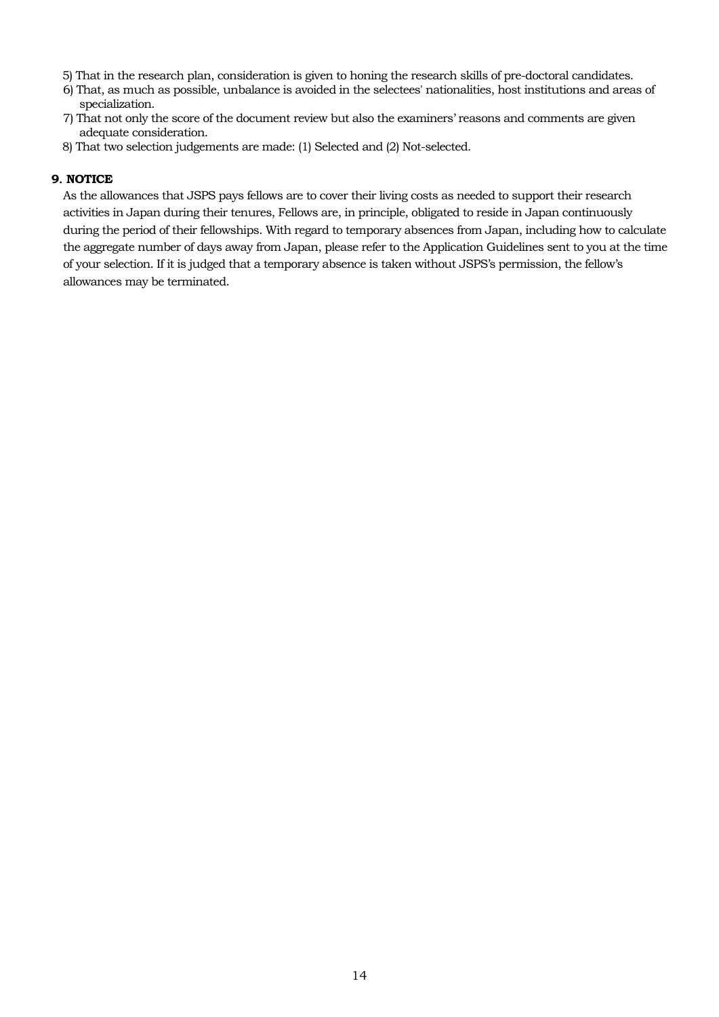- 5) That in the research plan, consideration is given to honing the research skills of pre-doctoral candidates.
- 6) That, as much as possible, unbalance is avoided in the selectees' nationalities, host institutions and areas of specialization.
- 7) That not only the score of the document review but also the examiners' reasons and comments are given adequate consideration.
- 8) That two selection judgements are made: (1) Selected and (2) Not-selected.

## **9**.**NOTICE**

As the allowances that JSPS pays fellows are to cover their living costs as needed to support their research activities in Japan during their tenures, Fellows are, in principle, obligated to reside in Japan continuously during the period of their fellowships. With regard to temporary absences from Japan, including how to calculate the aggregate number of days away from Japan, please refer to the Application Guidelines sent to you at the time of your selection. If it is judged that a temporary absence is taken without JSPS's permission, the fellow's allowances may be terminated.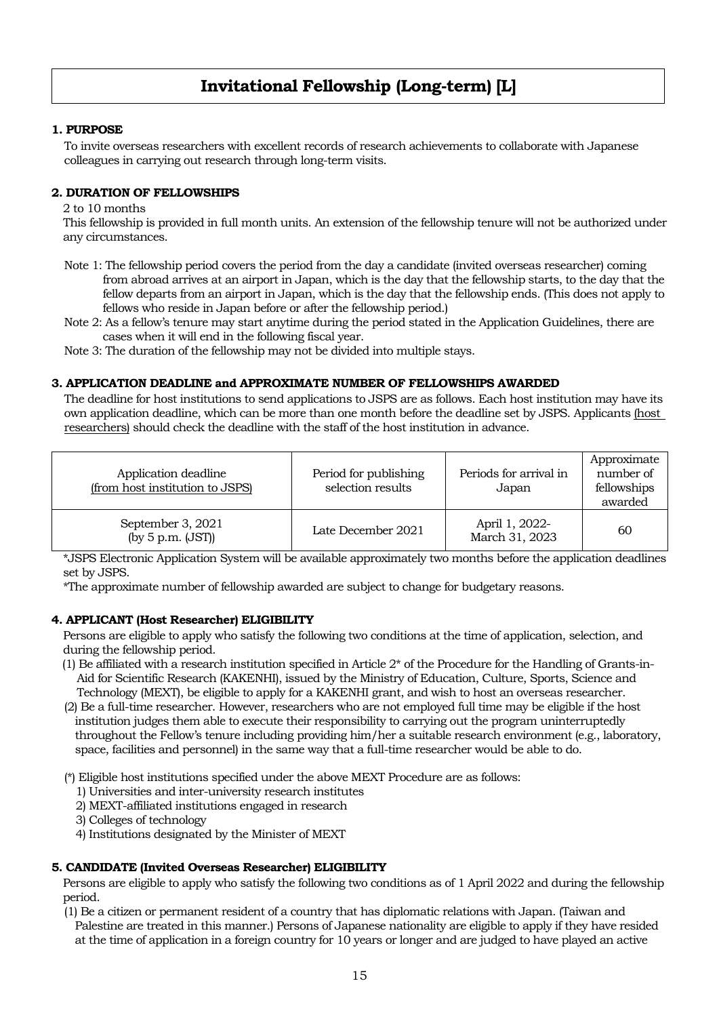# **Invitational Fellowship (Long-term) [L]**

### **1. PURPOSE**

To invite overseas researchers with excellent records of research achievements to collaborate with Japanese colleagues in carrying out research through long-term visits.

#### **2. DURATION OF FELLOWSHIPS**

2 to 10 months

This fellowship is provided in full month units. An extension of the fellowship tenure will not be authorized under any circumstances.

Note 1: The fellowship period covers the period from the day a candidate (invited overseas researcher) coming from abroad arrives at an airport in Japan, which is the day that the fellowship starts, to the day that the fellow departs from an airport in Japan, which is the day that the fellowship ends. (This does not apply to fellows who reside in Japan before or after the fellowship period.)

Note 2: As a fellow's tenure may start anytime during the period stated in the Application Guidelines, there are cases when it will end in the following fiscal year.

Note 3: The duration of the fellowship may not be divided into multiple stays.

#### **3. APPLICATION DEADLINE and APPROXIMATE NUMBER OF FELLOWSHIPS AWARDED**

The deadline for host institutions to send applications to JSPS are as follows. Each host institution may have its own application deadline, which can be more than one month before the deadline set by JSPS. Applicants (host researchers) should check the deadline with the staff of the host institution in advance.

| Application deadline<br>(from host institution to JSPS) | Period for publishing<br>selection results | Periods for arrival in<br>Japan  | Approximate<br>number of<br>fellowships<br>awarded |
|---------------------------------------------------------|--------------------------------------------|----------------------------------|----------------------------------------------------|
| September 3, 2021<br>(by $5$ p.m. $(JST)$ )             | Late December 2021                         | April 1, 2022-<br>March 31, 2023 | 60                                                 |

\*JSPS Electronic Application System will be available approximately two months before the application deadlines set by JSPS.

\*The approximate number of fellowship awarded are subject to change for budgetary reasons.

#### **4. APPLICANT (Host Researcher) ELIGIBILITY**

Persons are eligible to apply who satisfy the following two conditions at the time of application, selection, and during the fellowship period.

- $(1)$  Be affiliated with a research institution specified in Article  $2^*$  of the Procedure for the Handling of Grants-in-Aid for Scientific Research (KAKENHI), issued by the Ministry of Education, Culture, Sports, Science and Technology (MEXT), be eligible to apply for a KAKENHI grant, and wish to host an overseas researcher.
- (2) Be a full-time researcher. However, researchers who are not employed full time may be eligible if the host institution judges them able to execute their responsibility to carrying out the program uninterruptedly throughout the Fellow's tenure including providing him/her a suitable research environment (e.g., laboratory, space, facilities and personnel) in the same way that a full-time researcher would be able to do.

(\*) Eligible host institutions specified under the above MEXT Procedure are as follows:

- 1) Universities and inter-university research institutes
- 2) MEXT-affiliated institutions engaged in research

3) Colleges of technology

4) Institutions designated by the Minister of MEXT

#### **5. CANDIDATE (Invited Overseas Researcher) ELIGIBILITY**

Persons are eligible to apply who satisfy the following two conditions as of 1 April 2022 and during the fellowship period.

(1) Be a citizen or permanent resident of a country that has diplomatic relations with Japan. (Taiwan and Palestine are treated in this manner.) Persons of Japanese nationality are eligible to apply if they have resided at the time of application in a foreign country for 10 years or longer and are judged to have played an active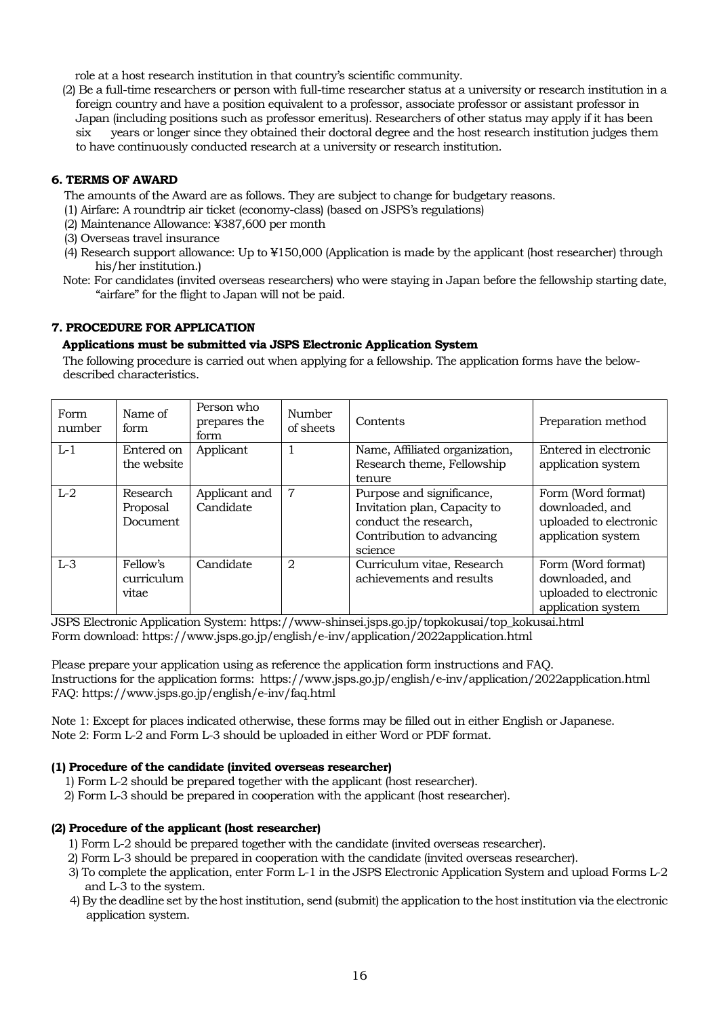role at a host research institution in that country's scientific community.

(2) Be a full-time researchers or person with full-time researcher status at a university or research institution in a foreign country and have a position equivalent to a professor, associate professor or assistant professor in Japan (including positions such as professor emeritus). Researchers of other status may apply if it has been six years or longer since they obtained their doctoral degree and the host research institution judges them to have continuously conducted research at a university or research institution.

## **6. TERMS OF AWARD**

The amounts of the Award are as follows. They are subject to change for budgetary reasons.

- (1) Airfare: A roundtrip air ticket (economy-class) (based on JSPS's regulations)
- (2) Maintenance Allowance: ¥387,600 per month
- (3) Overseas travel insurance
- (4) Research support allowance: Up to ¥150,000 (Application is made by the applicant (host researcher) through his/her institution.)
- Note: For candidates (invited overseas researchers) who were staying in Japan before the fellowship starting date, "airfare" for the flight to Japan will not be paid.

## **7. PROCEDURE FOR APPLICATION**

#### **Applications must be submitted via JSPS Electronic Application System**

The following procedure is carried out when applying for a fellowship. The application forms have the belowdescribed characteristics.

| Form<br>number | Name of<br>form                  | Person who<br>prepares the<br>form | Number<br>of sheets | Contents                                                                                                                   | Preparation method                                                                    |
|----------------|----------------------------------|------------------------------------|---------------------|----------------------------------------------------------------------------------------------------------------------------|---------------------------------------------------------------------------------------|
| $L-1$          | Entered on<br>the website        | Applicant                          |                     | Name, Affiliated organization,<br>Research theme, Fellowship<br>tenure                                                     | Entered in electronic<br>application system                                           |
| $L-2$          | Research<br>Proposal<br>Document | Applicant and<br>Candidate         | 7                   | Purpose and significance,<br>Invitation plan, Capacity to<br>conduct the research,<br>Contribution to advancing<br>science | Form (Word format)<br>downloaded, and<br>uploaded to electronic<br>application system |
| $L-3$          | Fellow's<br>curriculum<br>vitae  | Candidate                          | $\mathfrak{D}$      | Curriculum vitae, Research<br>achievements and results                                                                     | Form (Word format)<br>downloaded, and<br>uploaded to electronic<br>application system |

JSPS Electronic Application System: https://www-shinsei.jsps.go.jp/topkokusai/top\_kokusai.html Form download: https://www.jsps.go.jp/english/e-inv/application/2022application.html

Please prepare your application using as reference the application form instructions and FAQ. Instructions for the application forms: https://www.jsps.go.jp/english/e-inv/application/2022application.html FAQ: https://www.jsps.go.jp/english/e-inv/faq.html

Note 1: Except for places indicated otherwise, these forms may be filled out in either English or Japanese. Note 2: Form L-2 and Form L-3 should be uploaded in either Word or PDF format.

## **(1) Procedure of the candidate (invited overseas researcher)**

- 1) Form L-2 should be prepared together with the applicant (host researcher).
- 2) Form L-3 should be prepared in cooperation with the applicant (host researcher).

## **(2) Procedure of the applicant (host researcher)**

- 1) Form L-2 should be prepared together with the candidate (invited overseas researcher).
- 2) Form L-3 should be prepared in cooperation with the candidate (invited overseas researcher).
- 3) To complete the application, enter Form L-1 in the JSPS Electronic Application System and upload Forms L-2 and L-3 to the system.
- 4) By the deadline set by the host institution, send (submit) the application to the host institution via the electronic application system.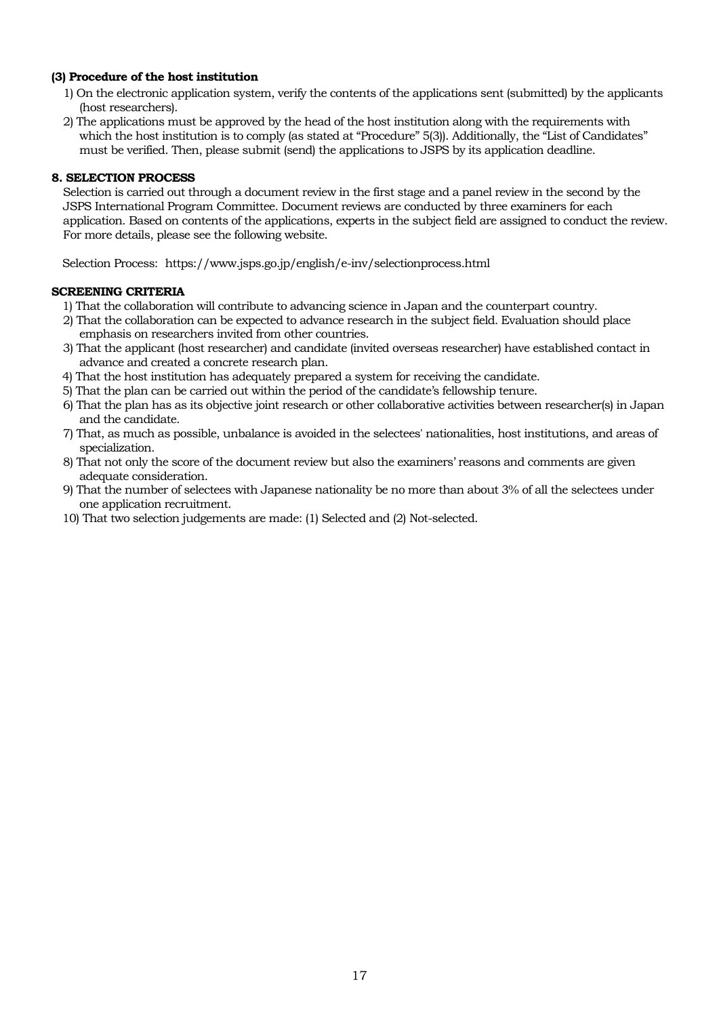### **(3) Procedure of the host institution**

- 1) On the electronic application system, verify the contents of the applications sent (submitted) by the applicants (host researchers).
- 2) The applications must be approved by the head of the host institution along with the requirements with which the host institution is to comply (as stated at "Procedure" 5(3)). Additionally, the "List of Candidates" must be verified. Then, please submit (send) the applications to JSPS by its application deadline.

## **8. SELECTION PROCESS**

Selection is carried out through a document review in the first stage and a panel review in the second by the JSPS International Program Committee. Document reviews are conducted by three examiners for each application. Based on contents of the applications, experts in the subject field are assigned to conduct the review. For more details, please see the following website.

Selection Process: https://www.jsps.go.jp/english/e-inv/selectionprocess.html

#### **SCREENING CRITERIA**

- 1) That the collaboration will contribute to advancing science in Japan and the counterpart country.
- 2) That the collaboration can be expected to advance research in the subject field. Evaluation should place emphasis on researchers invited from other countries.
- 3) That the applicant (host researcher) and candidate (invited overseas researcher) have established contact in advance and created a concrete research plan.
- 4) That the host institution has adequately prepared a system for receiving the candidate.
- 5) That the plan can be carried out within the period of the candidate's fellowship tenure.
- 6) That the plan has as its objective joint research or other collaborative activities between researcher(s) in Japan and the candidate.
- 7) That, as much as possible, unbalance is avoided in the selectees' nationalities, host institutions, and areas of specialization.
- 8) That not only the score of the document review but also the examiners' reasons and comments are given adequate consideration.
- 9) That the number of selectees with Japanese nationality be no more than about 3% of all the selectees under one application recruitment.
- 10) That two selection judgements are made: (1) Selected and (2) Not-selected.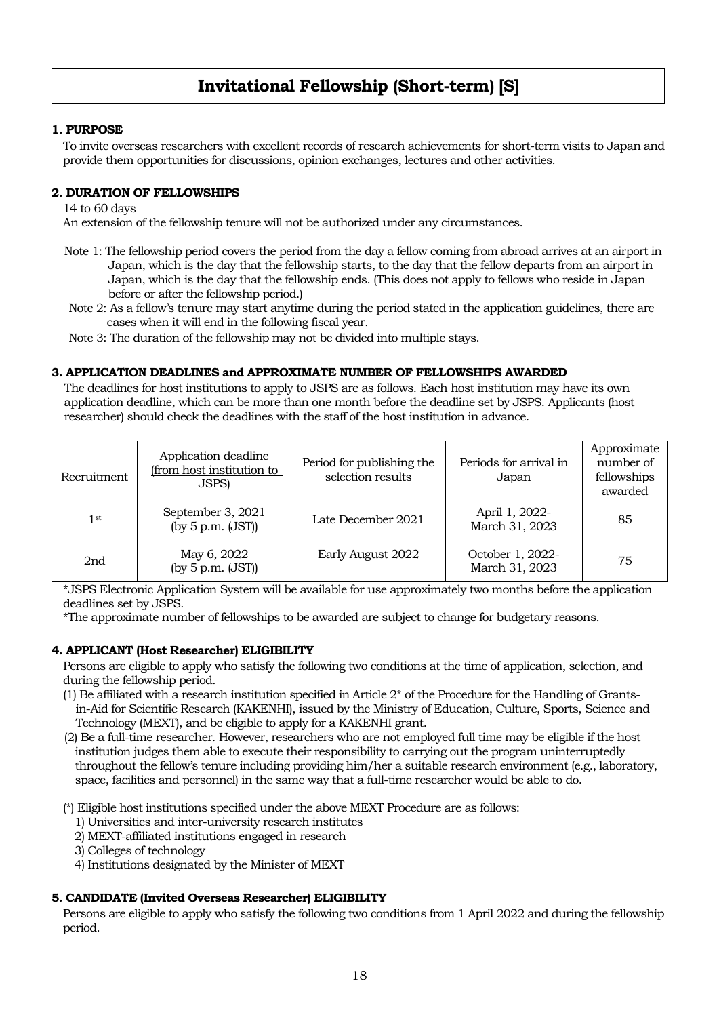## **Invitational Fellowship (Short-term) [S]**

## **1. PURPOSE**

To invite overseas researchers with excellent records of research achievements for short-term visits to Japan and provide them opportunities for discussions, opinion exchanges, lectures and other activities.

#### **2. DURATION OF FELLOWSHIPS**

14 to 60 days

An extension of the fellowship tenure will not be authorized under any circumstances.

- Note 1: The fellowship period covers the period from the day a fellow coming from abroad arrives at an airport in Japan, which is the day that the fellowship starts, to the day that the fellow departs from an airport in Japan, which is the day that the fellowship ends. (This does not apply to fellows who reside in Japan before or after the fellowship period.)
- Note 2: As a fellow's tenure may start anytime during the period stated in the application guidelines, there are cases when it will end in the following fiscal year.

Note 3: The duration of the fellowship may not be divided into multiple stays.

#### **3. APPLICATION DEADLINES and APPROXIMATE NUMBER OF FELLOWSHIPS AWARDED**

The deadlines for host institutions to apply to JSPS are as follows. Each host institution may have its own application deadline, which can be more than one month before the deadline set by JSPS. Applicants (host researcher) should check the deadlines with the staff of the host institution in advance.

| Recruitment     | Application deadline<br>(from host institution to<br>JSPS) | Period for publishing the<br>selection results | Periods for arrival in<br>Japan    | Approximate<br>number of<br>fellowships<br>awarded |
|-----------------|------------------------------------------------------------|------------------------------------------------|------------------------------------|----------------------------------------------------|
| 1 <sup>st</sup> | September 3, 2021<br>(by $5$ p.m. $(JST)$ )                | Late December 2021                             | April 1, 2022-<br>March 31, 2023   | 85                                                 |
| 2nd             | May 6, 2022<br>(by $5$ p.m. $(JST)$ )                      | Early August 2022                              | October 1, 2022-<br>March 31, 2023 | 75                                                 |

\*JSPS Electronic Application System will be available for use approximately two months before the application deadlines set by JSPS.

\*The approximate number of fellowships to be awarded are subject to change for budgetary reasons.

#### **4. APPLICANT (Host Researcher) ELIGIBILITY**

Persons are eligible to apply who satisfy the following two conditions at the time of application, selection, and during the fellowship period.

- $(1)$  Be affiliated with a research institution specified in Article  $2^*$  of the Procedure for the Handling of Grantsin-Aid for Scientific Research (KAKENHI), issued by the Ministry of Education, Culture, Sports, Science and Technology (MEXT), and be eligible to apply for a KAKENHI grant.
- (2) Be a full-time researcher. However, researchers who are not employed full time may be eligible if the host institution judges them able to execute their responsibility to carrying out the program uninterruptedly throughout the fellow's tenure including providing him/her a suitable research environment (e.g., laboratory, space, facilities and personnel) in the same way that a full-time researcher would be able to do.
- (\*) Eligible host institutions specified under the above MEXT Procedure are as follows:
	- 1) Universities and inter-university research institutes
	- 2) MEXT-affiliated institutions engaged in research
	- 3) Colleges of technology
	- 4) Institutions designated by the Minister of MEXT

#### **5. CANDIDATE (Invited Overseas Researcher) ELIGIBILITY**

Persons are eligible to apply who satisfy the following two conditions from 1 April 2022 and during the fellowship period.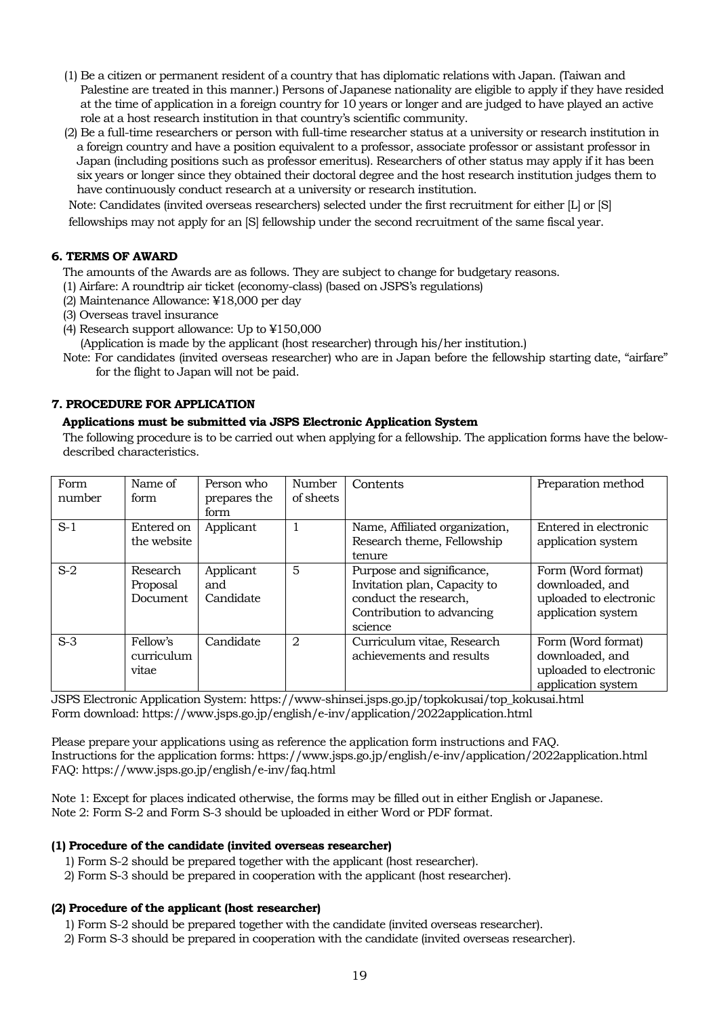- (1) Be a citizen or permanent resident of a country that has diplomatic relations with Japan. (Taiwan and Palestine are treated in this manner.) Persons of Japanese nationality are eligible to apply if they have resided at the time of application in a foreign country for 10 years or longer and are judged to have played an active role at a host research institution in that country's scientific community.
- (2) Be a full-time researchers or person with full-time researcher status at a university or research institution in a foreign country and have a position equivalent to a professor, associate professor or assistant professor in Japan (including positions such as professor emeritus). Researchers of other status may apply if it has been six years or longer since they obtained their doctoral degree and the host research institution judges them to have continuously conduct research at a university or research institution.

Note: Candidates (invited overseas researchers) selected under the first recruitment for either [L] or [S]

fellowships may not apply for an [S] fellowship under the second recruitment of the same fiscal year.

## **6. TERMS OF AWARD**

The amounts of the Awards are as follows. They are subject to change for budgetary reasons.

- (1) Airfare: A roundtrip air ticket (economy-class) (based on JSPS's regulations)
- (2) Maintenance Allowance: ¥18,000 per day
- (3) Overseas travel insurance
- (4) Research support allowance: Up to ¥150,000
- (Application is made by the applicant (host researcher) through his/her institution.)
- Note: For candidates (invited overseas researcher) who are in Japan before the fellowship starting date, "airfare" for the flight to Japan will not be paid.

## **7. PROCEDURE FOR APPLICATION**

## **Applications must be submitted via JSPS Electronic Application System**

The following procedure is to be carried out when applying for a fellowship. The application forms have the belowdescribed characteristics.

| Form<br>number | Name of<br>form                   | Person who<br>prepares the<br>form | Number<br>of sheets | Contents                                                                                                                   | Preparation method                                                                    |
|----------------|-----------------------------------|------------------------------------|---------------------|----------------------------------------------------------------------------------------------------------------------------|---------------------------------------------------------------------------------------|
| $S-1$          | Entered on<br>the website         | Applicant                          |                     | Name, Affiliated organization,<br>Research theme, Fellowship<br>tenure                                                     | Entered in electronic<br>application system                                           |
| $S-2$          | Research<br>Proposal<br>Document. | Applicant<br>and<br>Candidate      | 5                   | Purpose and significance,<br>Invitation plan, Capacity to<br>conduct the research,<br>Contribution to advancing<br>science | Form (Word format)<br>downloaded, and<br>uploaded to electronic<br>application system |
| $S-3$          | Fellow's<br>curriculum<br>vitae   | Candidate                          | $\overline{2}$      | Curriculum vitae, Research<br>achievements and results                                                                     | Form (Word format)<br>downloaded, and<br>uploaded to electronic<br>application system |

JSPS Electronic Application System: https://www-shinsei.jsps.go.jp/topkokusai/top\_kokusai.html Form download: https://www.jsps.go.jp/english/e-inv/application/2022application.html

Please prepare your applications using as reference the application form instructions and FAQ. Instructions for the application forms: https://www.jsps.go.jp/english/e-inv/application/2022application.html FAQ: https://www.jsps.go.jp/english/e-inv/faq.html

Note 1: Except for places indicated otherwise, the forms may be filled out in either English or Japanese. Note 2: Form S-2 and Form S-3 should be uploaded in either Word or PDF format.

## **(1) Procedure of the candidate (invited overseas researcher)**

- 1) Form S-2 should be prepared together with the applicant (host researcher).
- 2) Form S-3 should be prepared in cooperation with the applicant (host researcher).

## **(2) Procedure of the applicant (host researcher)**

- 1) Form S-2 should be prepared together with the candidate (invited overseas researcher).
- 2) Form S-3 should be prepared in cooperation with the candidate (invited overseas researcher).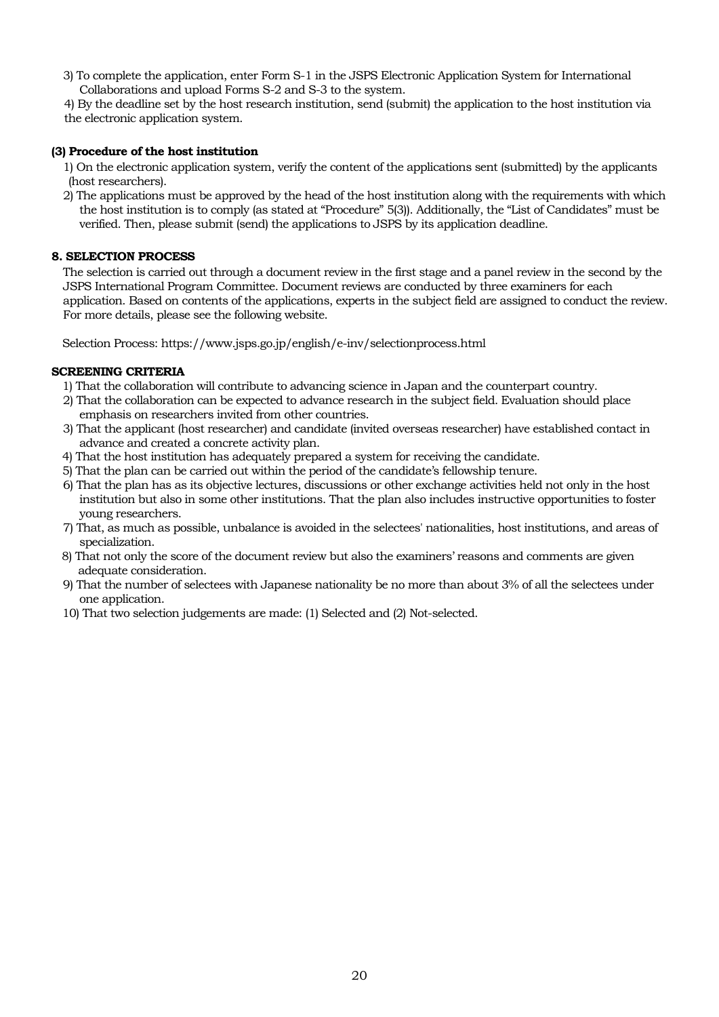3) To complete the application, enter Form S-1 in the JSPS Electronic Application System for International Collaborations and upload Forms S-2 and S-3 to the system.

4) By the deadline set by the host research institution, send (submit) the application to the host institution via the electronic application system.

## **(3) Procedure of the host institution**

1) On the electronic application system, verify the content of the applications sent (submitted) by the applicants (host researchers).

2) The applications must be approved by the head of the host institution along with the requirements with which the host institution is to comply (as stated at "Procedure" 5(3)). Additionally, the "List of Candidates" must be verified. Then, please submit (send) the applications to JSPS by its application deadline.

## **8. SELECTION PROCESS**

The selection is carried out through a document review in the first stage and a panel review in the second by the JSPS International Program Committee. Document reviews are conducted by three examiners for each application. Based on contents of the applications, experts in the subject field are assigned to conduct the review. For more details, please see the following website.

Selection Process: https://www.jsps.go.jp/english/e-inv/selectionprocess.html

## **SCREENING CRITERIA**

- 1) That the collaboration will contribute to advancing science in Japan and the counterpart country.
- 2) That the collaboration can be expected to advance research in the subject field. Evaluation should place emphasis on researchers invited from other countries.
- 3) That the applicant (host researcher) and candidate (invited overseas researcher) have established contact in advance and created a concrete activity plan.
- 4) That the host institution has adequately prepared a system for receiving the candidate.
- 5) That the plan can be carried out within the period of the candidate's fellowship tenure.
- 6) That the plan has as its objective lectures, discussions or other exchange activities held not only in the host institution but also in some other institutions. That the plan also includes instructive opportunities to foster young researchers.
- 7) That, as much as possible, unbalance is avoided in the selectees' nationalities, host institutions, and areas of specialization.
- 8) That not only the score of the document review but also the examiners' reasons and comments are given adequate consideration.
- 9) That the number of selectees with Japanese nationality be no more than about 3% of all the selectees under one application.
- 10) That two selection judgements are made: (1) Selected and (2) Not-selected.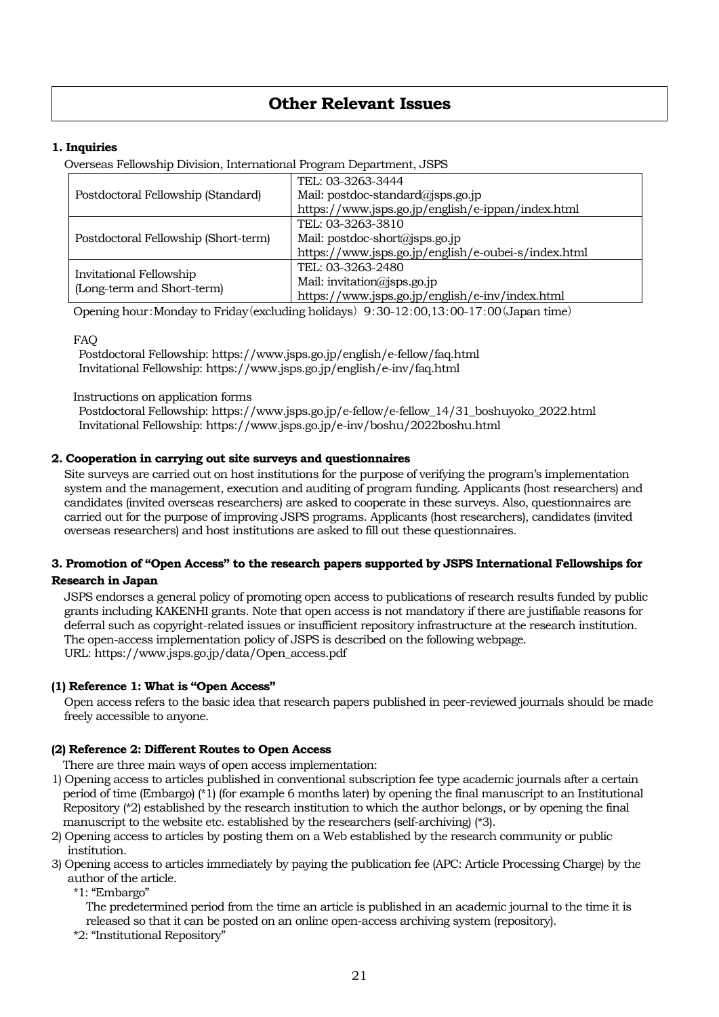## **Other Relevant Issues**

## **1. Inquiries**

Overseas Fellowship Division, International Program Department, JSPS

|                                                       | TEL: 03-3263-3444                                   |
|-------------------------------------------------------|-----------------------------------------------------|
| Postdoctoral Fellowship (Standard)                    | Mail: postdoc-standard@jsps.go.jp                   |
|                                                       | https://www.jsps.go.jp/english/e-ippan/index.html   |
|                                                       | TEL: 03-3263-3810                                   |
| Postdoctoral Fellowship (Short-term)                  | Mail: postdoc-short@jsps.go.jp                      |
|                                                       | https://www.jsps.go.jp/english/e-oubei-s/index.html |
|                                                       | TEL: 03-3263-2480                                   |
| Invitational Fellowship<br>(Long-term and Short-term) | Mail: invitation@jsps.go.jp                         |
|                                                       | https://www.jsps.go.jp/english/e-inv/index.html     |

Opening hour:Monday to Friday(excluding holidays) 9:30-12:00,13:00-17:00(Japan time)

FAQ

Postdoctoral Fellowship: https://www.jsps.go.jp/english/e-fellow/faq.html Invitational Fellowship: https://www.jsps.go.jp/english/e-inv/faq.html

#### Instructions on application forms

Postdoctoral Fellowship: https://www.jsps.go.jp/e-fellow/e-fellow\_14/31\_boshuyoko\_2022.html Invitational Fellowship: https://www.jsps.go.jp/e-inv/boshu/2022boshu.html

#### **2. Cooperation in carrying out site surveys and questionnaires**

Site surveys are carried out on host institutions for the purpose of verifying the program's implementation system and the management, execution and auditing of program funding. Applicants (host researchers) and candidates (invited overseas researchers) are asked to cooperate in these surveys. Also, questionnaires are carried out for the purpose of improving JSPS programs. Applicants (host researchers), candidates (invited overseas researchers) and host institutions are asked to fill out these questionnaires.

## **3. Promotion of "Open Access" to the research papers supported by JSPS International Fellowships for**

## **Research in Japan**

JSPS endorses a general policy of promoting open access to publications of research results funded by public grants including KAKENHI grants. Note that open access is not mandatory if there are justifiable reasons for deferral such as copyright-related issues or insufficient repository infrastructure at the research institution. The open-access implementation policy of JSPS is described on the following webpage. URL: https://www.jsps.go.jp/data/Open\_access.pdf

## **(1) Reference 1: What is "Open Access"**

Open access refers to the basic idea that research papers published in peer-reviewed journals should be made freely accessible to anyone.

## **(2) Reference 2: Different Routes to Open Access**

There are three main ways of open access implementation:

- 1) Opening access to articles published in conventional subscription fee type academic journals after a certain period of time (Embargo) (\*1) (for example 6 months later) by opening the final manuscript to an Institutional Repository  $(*2)$  established by the research institution to which the author belongs, or by opening the final manuscript to the website etc. established by the researchers (self-archiving) (\*3).
- 2) Opening access to articles by posting them on a Web established by the research community or public institution.
- 3) Opening access to articles immediately by paying the publication fee (APC: Article Processing Charge) by the author of the article.

\*1: "Embargo"

The predetermined period from the time an article is published in an academic journal to the time it is released so that it can be posted on an online open-access archiving system (repository).

\*2: "Institutional Repository"